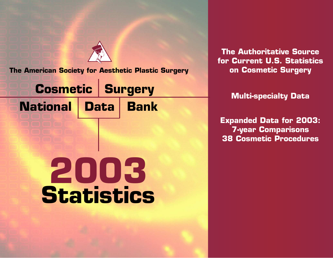**The American Society for Aesthetic Plastic Surgery**

**Surgery Cosmetic National Bank Data**

# **2003 Statistics**

**The Authoritative Source for Current U.S. Statistics on Cosmetic Surgery**

**Multi-specialty Data**

**Expanded Data for 2003: 7-year Comparisons 38 Cosmetic Procedures**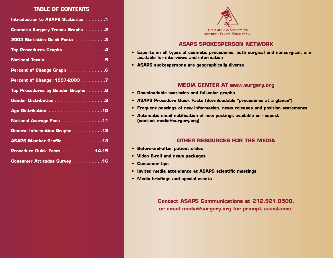#### **TABLE OF CONTENTS**

| Introduction to ASAPS Statistics 1      |
|-----------------------------------------|
| <b>Cosmetic Surgery Trends Graphs 2</b> |
| 2003 Statistics Quick Facts 3           |
| Top Procedures Graphs 4                 |
|                                         |
| Percent of Change Graph  6              |
| Percent of Change: 1997-2003 7          |
| Top Procedures by Gender Graphs 8       |
| Gender Distribution 9                   |
| Age Distribution 10                     |
| National Average Fees 11                |
| <b>General Information Graphs12</b>     |
| ASAPS Member Profile 13                 |
| Procedure Quick Facts 14-15             |
| Consumer Attitudes Survey 16            |



#### **ASAPS SPOKESPERSON NETWORK**

- **Experts on all types of cosmetic procedures, both surgical and nonsurgical, are available for interviews and information**
- **ASAPS spokespersons are geographically diverse**

#### **MEDIA CENTER AT www.surgery.org**

- **Downloadable statistics and full-color graphs**
- **ASAPS Procedure Quick Facts (downloadable "procedures at a glance")**
- **Frequent postings of new information, news releases and position statements**
- **Automatic email notification of new postings available on request (contact media@surgery.org)**

#### **OTHER RESOURCES FOR THE MEDIA**

- **Before-and-after patient slides**
- **Video B-roll and news packages**
- **Consumer tips**
- **Invited media attendance at ASAPS scientific meetings**
- **Media briefings and special events**

**Contact ASAPS Communications at 212.921.0500, or email media@surgery.org for prompt assistance.**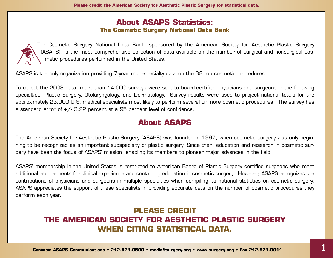### **About ASAPS Statistics: The Cosmetic Surgery National Data Bank**



The Cosmetic Surgery National Data Bank, sponsored by the American Society for Aesthetic Plastic Surgery (ASAPS), is the most comprehensive collection of data available on the number of surgical and nonsurgical cosmetic procedures performed in the United States.

ASAPS is the only organization providing 7-year multi-specialty data on the 38 top cosmetic procedures.

To collect the 2003 data, more than 14,000 surveys were sent to board-certified physicians and surgeons in the following specialties: Plastic Surgery, Otolaryngology, and Dermatology. Survey results were used to project national totals for the approximately 23,000 U.S. medical specialists most likely to perform several or more cosmetic procedures. The survey has a standard error of +/- 3.92 percent at a 95 percent level of confidence.

# **About ASAPS**

The American Society for Aesthetic Plastic Surgery (ASAPS) was founded in 1967, when cosmetic surgery was only beginning to be recognized as an important subspecialty of plastic surgery. Since then, education and research in cosmetic surgery have been the focus of ASAPS' mission, enabling its members to pioneer major advances in the field.

ASAPS' membership in the United States is restricted to American Board of Plastic Surgery certified surgeons who meet additional requirements for clinical experience and continuing education in cosmetic surgery. However, ASAPS recognizes the contributions of physicians and surgeons in multiple specialties when compiling its national statistics on cosmetic surgery. ASAPS appreciates the support of these specialists in providing accurate data on the number of cosmetic procedures they perform each year.

# **PLEASE CREDIT THE AMERICAN SOCIETY FOR AESTHETIC PLASTIC SURGERY WHEN CITING STATISTICAL DATA.**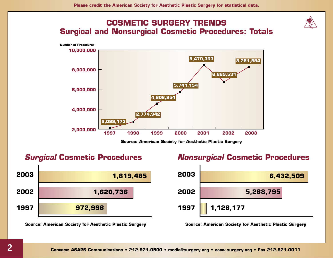



**Source: American Society for Aesthetic Plastic Surgery**

## *Surgical* **Cosmetic Procedures**



**Source: American Society for Aesthetic Plastic Surgery**

## *Nonsurgical* **Cosmetic Procedures**

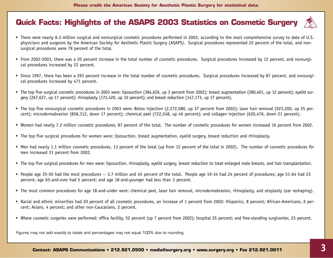# **Quick Facts: Highlights of the ASAPS 2003 Statistics on Cosmetic Surgery**



- There were nearly 8.3 million surgical and nonsurgical cosmetic procedures performed in 2003, according to the most comprehensive survey to date of U.S. physicians and surgeons by the American Society for Aesthetic Plastic Surgery (ASAPS). Surgical procedures represented 22 percent of the total, and nonsurgical procedures were 78 percent of the total.
- From 2002-2003, there was a 20 percent increase in the total number of cosmetic procedures. Surgical procedures increased by 12 percent, and nonsurgical procedures increased by 22 percent.
- Since 1997, there has been a 293 percent increase in the total number of cosmetic procedures. Surgical procedures increased by 87 percent, and nonsurgical procedures increased by 471 percent.
- The top five surgical cosmetic procedures in 2003 were: liposuction (384,626, up 3 percent from 2002); breast augmentation (280,401, up 12 percent); eyelid surgery (267,627, up 17 percent); rhinoplasty (172,420, up 10 percent); and breast reduction (147,173, up 17 percent).
- The top five nonsurgical cosmetic procedures in 2003 were: Botox injection (2,272,080, up 37 percent from 2002); laser hair removal (923,200, up 25 percent); microdermabrasion (858,312, down 17 percent); chemical peel (722,248, up 46 percent); and collagen injection (620,476, down 21 percent).
- Women had nearly 7.2 million cosmetic procedures, 87 percent of the total. The number of cosmetic procedures for women increased 16 percent from 2002.
- The top five surgical procedures for women were: liposuction, breast augmentation, eyelid surgery, breast reduction and rhinoplasty.
- Men had nearly 1.1 million cosmetic procedures, 13 percent of the total (up from 12 percent of the total in 2002). The number of cosmetic procedures for men increased 31 percent from 2002.
- The top five surgical procedures for men were: liposuction, rhinoplasty, eyelid surgery, breast reduction to treat enlarged male breasts, and hair transplantation.
- People age 35-50 had the most procedures -- 3.7 million and 45 percent of the total. People age 19-34 had 24 percent of procedures; age 51-64 had 23 percent; age 65-and-over had 5 percent; and age 18-and-younger had less than 3 percent.
- The most common procedures for age 18-and-under were: chemical peel, laser hair removal, microdermabrasion, rhinoplasty, and otoplasty (ear reshaping).
- Racial and ethnic minorities had 20 percent of all cosmetic procedures, an increase of 1 percent from 2002: Hispanics, 8 percent; African-Americans, 6 percent; Asians, 4 percent; and other non-Caucasians, 2 percent.
- Where cosmetic surgeries were performed: office facility, 52 percent (up 7 percent from 2002); hospital 25 percent; and free-standing surgicenter, 23 percent.

Figures may not add exactly to totals and percentages may not equal 100% due to rounding.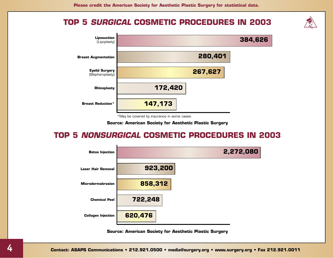## **TOP 5** *SURGICAL* **COSMETIC PROCEDURES IN 2003**



\*May be covered by insurance in some cases.

**Source: American Society for Aesthetic Plastic Surgery**

# **TOP 5** *NONSURGICAL* **COSMETIC PROCEDURES IN 2003**

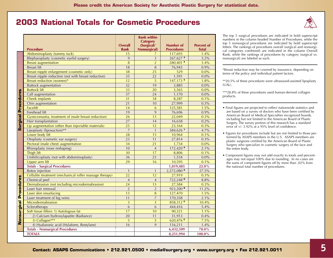## **2003 National Totals for Cosmetic Procedures**



|                            | Procedure                                               | Overall<br>Rank | <b>Rank within</b><br><b>Category</b><br>(Surgical/<br><b>Nonsurgical)</b> | Number of<br><b>Procedures</b> | <b>Percent of</b><br><b>Total</b> |
|----------------------------|---------------------------------------------------------|-----------------|----------------------------------------------------------------------------|--------------------------------|-----------------------------------|
|                            | Abdominoplasty (tummy tuck)                             | 15              | 7                                                                          | 117,693                        | 1.4%                              |
|                            | Blepharoplasty (cosmetic eyelid surgery)                | 9               | $\overline{3}$                                                             | $267,627$ <sup>3</sup>         | 3.2%                              |
|                            | <b>Breast augmentation</b>                              | 8               | $\overline{2}$                                                             | $280,401$ <sup>2</sup>         | 3.4%                              |
|                            | <b>Breast lift</b>                                      | 18              | 8                                                                          | 76,943                         | 0.9%                              |
|                            | Breast nipple enlargement (cosmetic only)               | 38              | 25                                                                         | 529                            | 0.0%                              |
|                            | Breast nipple reduction (not with breast reduction)     | 35              | 22                                                                         | 1,591                          | 0.0%                              |
|                            | Breast reduction (women)*                               | 12              | 5                                                                          | $147,173$ <sup>5</sup>         | 1.8%                              |
|                            | <b>Buttock augmentation</b>                             | 32              | 19                                                                         | 3,885                          | 0.0%                              |
|                            | <b>Buttock lift</b>                                     | 33              | 20                                                                         | 3,565                          | 0.0%                              |
|                            | Calf augmentation                                       | 37              | 24                                                                         | 1,170                          | $0.0\%$                           |
|                            | Cheek implants                                          | 31              | 18                                                                         | 8,287                          | 0.1%                              |
|                            | Chin augmentation                                       | 21              | 10                                                                         | 27,999                         | 0.3%                              |
|                            | Facelift                                                | 14              | 6                                                                          | 125,581                        | 1.5%                              |
| <b>Surgical Procedures</b> | Forehead lift                                           | 19              | 9                                                                          | 76,696                         | 0.9%                              |
|                            | Gynecomastia, treatment of (male breast reduction)      | 26              | 13                                                                         | 22,049                         | 0.3%                              |
|                            | Hair transplantation                                    | 27              | 14                                                                         | 16,638                         | 0.2%                              |
|                            | Lip augmentation (other than injectable materials)      | 25              | 12                                                                         | 23,164                         | 0.3%                              |
|                            | Lipoplasty (liposuction)**                              | $\overline{7}$  | $\mathbf{1}$                                                               | 384,626 <sup>1</sup>           | 4.7%                              |
|                            | Lower body lift                                         | 28              | 15                                                                         | 10,964                         | 0.1%                              |
|                            | Otoplasty (cosmetic ear surgery)                        | 23              | 11                                                                         | 27,814                         | 0.3%                              |
|                            | Pectoral (male chest) augmentation                      | 34              | 21                                                                         | 1,734                          | 0.0%                              |
|                            | Rhinoplasty (nose reshaping)                            | 10              | $\overline{4}$                                                             | 172,420 <sup>4</sup>           | 2.1%                              |
|                            | Thigh lift                                              | 30              | 17                                                                         | 8,806                          | 0.1%                              |
|                            | Umbilicoplasty (not with abdominoplasty)                | 36              | 23                                                                         | 1,534                          | $0.0\%$                           |
|                            | Upper arm lift                                          | 29              | 16                                                                         | 10,595                         | 0.1%                              |
|                            | <b>Totals - Surgical Procedures</b>                     |                 |                                                                            | 1,819,485                      | 22.0%                             |
|                            | <b>Botox</b> injection                                  | $\mathbf{1}$    | $\mathbf{1}$                                                               | 2,272,080 A                    | 27.5%                             |
|                            | Cellulite treatment (mechanical roller massage therapy) | 22              | 12                                                                         | 27,919                         | 0.3%                              |
|                            | Chemical peel                                           | $\overline{4}$  | $\overline{4}$                                                             | 722,248                        | 8.8%                              |
|                            | Dermabrasion (not including microdermabrasion)          | 24              | 13                                                                         | 27,584                         | 0.3%                              |
|                            | Laser hair removal                                      | $\overline{2}$  | $\overline{2}$                                                             | $923,200$ <sup>B</sup>         | 11.2%                             |
|                            | Laser skin resurfacing                                  | 13              | $\, 8$                                                                     | 127,470                        | 1.5%                              |
|                            | Laser treatment of leg veins                            | 11              | $\overline{7}$                                                             | 170,358                        | 2.1%                              |
|                            | Microdermabrasion                                       | 3               | 3                                                                          | $858,312$ <sup>c</sup>         | 10.4%                             |
|                            | Sclerotherapy                                           | 6               | 6                                                                          | 444,416                        | 5.4%                              |
|                            | Soft tissue fillers: 1) Autologous fat                  | 17              | 10                                                                         | 90,321                         | 1.1%                              |
| Nonsurgical Procedures     | 2) Calcium hydroxylapatite (Radiance)                   | 20              | 11                                                                         | 31,913                         | 0.4%                              |
|                            | 3) Collagen***                                          | 5               | 5                                                                          | 620,476 €                      | 7.5%                              |
|                            | 4) Hyaluronic acid (Hylaform, Restylane)                | 16              | 9                                                                          | 116,211                        | 1.4%                              |
|                            | <b>Totals - Nonsurgical Procedures</b>                  |                 |                                                                            | 6,432,509                      | 78.0%                             |
|                            | <b>TOTALS</b>                                           |                 |                                                                            | 8,251,994                      | 100.0%                            |

The top 5 surgical procedures are indicated in bold superscript numbers in the column headed Number of Procedures, while the top 5 nonsurgical procedures are indicated by bold superscript letters. The rankings of procedures overall (surgical and nonsurgical categories combined) are indicated in the column Overall Rank, while the rankings of procedures by category (surgical vs. nonsurgical) are labeled as such.

\*Breast reduction may be covered by insurance, depending on terms of the policy and individual patient factors.

\*\*20.5% of these procedures were ultrasound-assisted lipoplasty (UAL).

\*\*\*28.8% of these procedures used human-derived collagen products.

- Final figures are projected to reflect nationwide statistics and are based on a survey of doctors who have been certified by American Board of Medical Specialties recognized boards, including but not limited to the American Board of Plastic Surgery. The survey portion of this research has a standard error of +/- 3.92% at a 95% level of confidence.
- Figures for procedures include but are not limited to those performed by ASAPS members in the U.S. ASAPS members are plastic surgeons certified by the American Board of Plastic Surgery who specialize in cosmetic surgery of the face and the entire body.
- Component figures may not add exactly to totals and percentages may not equal 100% due to rounding. In no cases are the sums of component figures off by more than .02% from the national total number of procedures.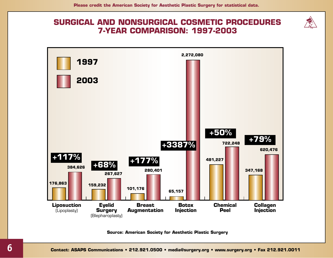## **SURGICAL AND NONSURGICAL COSMETIC PROCEDURES 7-YEAR COMPARISON: 1997-2003**

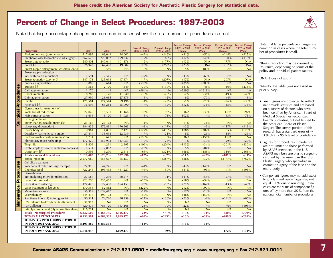## **Percent of Change in Select Procedures: 1997-2003**







Note that large percentage changes are common in cases where the total number of procedures is small.

\*Breast reduction may be covered by insurance, depending on terms of the policy and individual patient factors.

DNA=Does not apply

NA=Not available (was not asked in prior survey)

- Final figures are projected to reflect nationwide statistics and are based on a survey of doctors who have been certified by American Board of Medical Specialties recognized boards, including but not limited to the American Board of Plastic Surgery. The survey portion of this research has a standard error of +/- 3.92% at a 95% level of confidence.
- Figures for procedures include but are not limited to those performed by ASAPS members in the U.S. ASAPS members are plastic surgeons certified by the American Board of Plastic Surgery who specialize in cosmetic surgery of the face and the entire body.
- Component figures may not add exactly to totals and percentages may not equal 100% due to rounding. In no cases are the sums of component figures off by more than .02% from the national total number of procedures.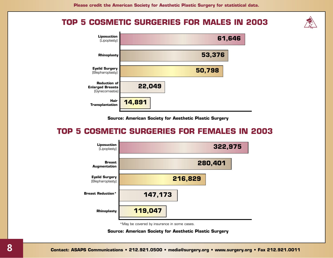## **TOP 5 COSMETIC SURGERIES FOR MALES IN 2003**



**Source: American Society for Aesthetic Plastic Surgery**

# **TOP 5 COSMETIC SURGERIES FOR FEMALES IN 2003**



\*May be covered by insurance in some cases.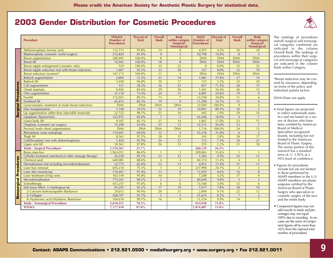# **2003 Gender Distribution for Cosmetic Procedures**



|                               | <b>Procedure</b>                                        | <b>FEMALE</b><br>(Number of<br><b>Procedures)</b> | Percent of<br><b>Total</b> | <b>Overall</b><br>Rank | <b>Rank</b><br>within category<br>(Surgical)<br>Nonsurgical) | <b>MALE</b><br>(Number of<br>Procedures) | Percent of<br><b>Total</b> | <b>Overall</b><br><b>Rank</b> | <b>Rank</b><br>within category<br>(Surgical/<br>Nonsurgical) |
|-------------------------------|---------------------------------------------------------|---------------------------------------------------|----------------------------|------------------------|--------------------------------------------------------------|------------------------------------------|----------------------------|-------------------------------|--------------------------------------------------------------|
|                               | Abdominoplasty (tummy tuck)                             | 112,713                                           | 95.8%                      | 14                     | 6                                                            | 4,975                                    | 4.2%                       | 20                            | 10                                                           |
|                               | Blepharoplasty (cosmetic eyelid surgery)                | 216,829                                           | 81.0%                      | 9                      | $\overline{3}$                                               | 50,798                                   | 19.0%                      | 8                             | 3                                                            |
|                               | <b>Breast augmentation</b>                              | 280,401                                           | 100.0%                     | 8                      | $\overline{2}$                                               | <b>DNA</b>                               | <b>DNA</b>                 | <b>DNA</b>                    | <b>DNA</b>                                                   |
|                               | <b>Breast lift</b>                                      | 76,943                                            | 100.0%                     | 18                     | 8                                                            | <b>DNA</b>                               | <b>DNA</b>                 | <b>DNA</b>                    | <b>DNA</b>                                                   |
|                               | Breast nipple enlargement (cosmetic only)               | 529                                               | 100.0%                     | 35                     | 22                                                           | $\mathbf{0}$                             | 0.0%                       | 35                            | 22                                                           |
|                               | Breast nipple reduction (not with breast reduction)     | 1,467                                             | 92.2%                      | 33                     | 20                                                           | 127                                      | 8.0%                       | 32                            | 19                                                           |
|                               | Breast reduction (women)*                               | 147,173                                           | 100.0%                     | 11                     | $\overline{4}$                                               | <b>DNA</b>                               | <b>DNA</b>                 | <b>DNA</b>                    | <b>DNA</b>                                                   |
|                               | <b>Buttock</b> augmentation                             | 2,804                                             | 72.2%                      | 31                     | 18                                                           | 1,081                                    | 27.8%                      | 27                            | 14                                                           |
|                               | <b>Buttock lift</b>                                     | 3,450                                             | 96.8%                      | 30                     | 17                                                           | 115                                      | 3.2%                       | 33                            | 20                                                           |
| <b>Surgical Procedures</b>    | Calf augmentation                                       | 331                                               | 28.3%                      | 36                     | 23                                                           | 837                                      | 71.5%                      | 28                            | 15                                                           |
|                               | Cheek implants                                          | 6,926                                             | 83.6%                      | 29                     | 16                                                           | 1,361                                    | 16.4%                      | 26                            | 13                                                           |
|                               | Chin augmentation                                       | 21,118                                            | 75.4%                      | 24                     | 11                                                           | 6,881                                    | 24.6%                      | 19                            | 9                                                            |
|                               | Facelift                                                | 112,025                                           | 89.2%                      | 15                     | $\overline{7}$                                               | 13,558                                   | 10.8%                      | 11                            | 6                                                            |
|                               | Forehead lift                                           | 65,412                                            | 85.3%                      | 19                     | 9                                                            | 11,290                                   | 14.7%                      | 15                            | 8                                                            |
|                               | Gynecomastia, treatment of (male breast reduction)      | <b>DNA</b>                                        | <b>DNA</b>                 | <b>DNA</b>             | <b>DNA</b>                                                   | 22,049                                   | 100.0%                     | 9                             | $\overline{4}$                                               |
|                               | Hair transplantation                                    | 1,748                                             | 10.5%                      | 32                     | 19                                                           | 14,891                                   | 89.5%                      | 10                            | 5                                                            |
|                               | Lip augmentation (other than injectable materials)      | 22,722                                            | 98.1%                      | 23                     | 10                                                           | 445                                      | 1.9%                       | 29                            | 16                                                           |
|                               | Lipoplasty (liposuction)                                | 322,975                                           | 84.0%                      | $\overline{7}$         | $\overline{1}$                                               | 61,646                                   | 16.0%                      | 5                             | $\overline{1}$                                               |
|                               | Lower body lift                                         | 9,107                                             | 83.1%                      | 27                     | 14                                                           | 1,861                                    | 17.0%                      | 23                            | 11                                                           |
|                               | Otoplasty (cosmetic ear surgery)                        | 15,298                                            | 55.0%                      | 25                     | 12                                                           | 12,515                                   | 45.0%                      | 13                            | $\overline{7}$                                               |
|                               | Pectoral (male chest) augmentation                      | <b>DNA</b>                                        | <b>DNA</b>                 | <b>DNA</b>             | <b>DNA</b>                                                   | 1,734                                    | 100.0%                     | 24                            | 12                                                           |
|                               | Rhinoplasty (nose reshaping)                            | 119,047                                           | 69.0%                      | 12                     | 5                                                            | 53,376                                   | 31.0%                      | 6                             | 2                                                            |
|                               | Thigh lift                                              | 8,563                                             | 97.2%                      | 28                     | 15                                                           | 243                                      | 2.8%                       | 30                            | 17                                                           |
|                               | Umbilicoplasty (not with abdominoplasty)                | 1,426                                             | 92.9%                      | 34                     | 21                                                           | 112                                      | 7.3%                       | 34                            | 21                                                           |
|                               | Upper arm lift                                          | 10,361                                            | 97.8%                      | 26                     | 13                                                           | 235                                      | 2.2%                       | 31                            | 18                                                           |
|                               | <b>Totals - Surgical Procedures</b>                     | 1,559,367                                         | 21.7%                      |                        |                                                              | 260,129                                  | 24.2%                      |                               |                                                              |
|                               | <b>Botox</b> injection                                  | 1,963,012                                         | 86.4%                      | $\mathbf{1}$           | $\mathbf{1}$                                                 | 309,063                                  | 13.6%                      | $\overline{1}$                | $\mathbf{1}$                                                 |
|                               | Cellulite treatment (mechanical roller massage therapy) | 26,558                                            | 95.1%                      | 21                     | 12                                                           | 1,365                                    | 4.9%                       | 25                            | 13                                                           |
|                               | Chemical peel                                           | 640,081                                           | 88.6%                      | $\overline{4}$         | $\overline{4}$                                               | 82,174                                   | 11.4%                      | $\overline{4}$                | $\overline{4}$                                               |
|                               | Dermabrasion (not including microdermabrasion)          | 22,775                                            | 82.6%                      | 22                     | 13                                                           | 4,812                                    | 17.4%                      | 21                            | 11                                                           |
|                               | Laser hair removal                                      | 695,210                                           | 75.3%                      | 3                      | 3                                                            | 227,990                                  | 24.7%                      | 2                             | $\overline{2}$                                               |
|                               | Laser skin resurfacing                                  | 116,467                                           | 91.4%                      | 13                     | 8                                                            | 11,010                                   | 8.6%                       | 16                            | $\,8\,$                                                      |
|                               | Laser treatment of leg veins                            | 163,149                                           | 95.8%                      | 10                     | $\overline{7}$                                               | 7,208                                    | 4.2%                       | 17                            | 9                                                            |
|                               | Microdermabrasion                                       | 774,261                                           | 90.2%                      | $\overline{2}$         | $\overline{2}$                                               | 84,049                                   | 9.8%                       | 3                             | 3                                                            |
|                               | Sclerotherapy                                           | 431,257                                           | 97.0%                      | 6                      | 6                                                            | 13,168                                   | 3.0%                       | 12                            | 6                                                            |
|                               | Soft tissue fillers: 1) Autologous fat                  | 83,295                                            | 92.2%                      | 17                     | 10                                                           | 7,017                                    | 7.8%                       | 18                            | 10                                                           |
| <b>Nonsurgical Procedures</b> | 2) Calcium hydroxylapatite (Radiance)                   | 29,013                                            | 90.9%                      | 20                     | 11                                                           | 2,894                                    | 9.1%                       | 22                            | 12                                                           |
|                               | 3) Collagen                                             | 568,797                                           | 91.7%                      | 5                      | 5                                                            | 51,674                                   | 8.3%                       | $\overline{7}$                | 5                                                            |
|                               | 4) Hyaluronic acid (Hylaform, Restylane)                | 104,678                                           | 90.1%                      | 16                     | 9                                                            | 11,534                                   | 9.9%                       | 14                            | $\overline{7}$                                               |
|                               | <b>Totals - Nonsurgical Procedures</b>                  | 5,618,551                                         | 78.3%                      |                        |                                                              | 813,958                                  | 75.8%                      |                               |                                                              |
|                               | <b>TOTALS</b>                                           | 7,177,918                                         | 87.0%                      |                        |                                                              | 1,074,087                                | 13.0%                      |                               |                                                              |

The rankings of procedures overall (surgical and nonsurgical categories combined) are indicated in the column Overall Rank. The rankings of procedures within their surgical and nonsurgical categories are indicated in the column Rank within Category.

\*Breast reduction may be covered by insurance, depending on terms of the policy and individual patient factors.

DNA=Does not apply

- Final figures are projected to reflect nationwide statistics and are based on a survey of doctors who have been certified by American Board of Medical Specialties recognized boards, including but not limited to the American Board of Plastic Surgery. The survey portion of this research has a standard error of +/- 3.92% at a 95% level of confidence.
- Figures for procedures include but are not limited to those performed by ASAPS members in the U.S. ASAPS members are plastic surgeons certified by the American Board of Plastic Surgery who specialize in cosmetic surgery of the face and the entire body.
- Component figures may not add exactly to totals and percentages may not equal 100% due to rounding. In no cases are the sums of component figures off by more than .02% from the national total number of procedures.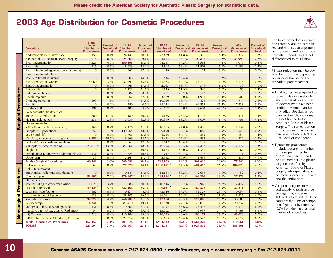# **2003 Age Distribution for Cosmetic Procedures**



| 18 and<br><b>Under</b><br>19-34<br>35-50<br><b>Percent</b> of<br><b>Percent of</b><br><b>Percent of</b><br>51-64<br><b>Percent of</b><br>$65+$<br>Percent of<br><b>Procedure</b><br>(Number of<br>(Number of<br>(Number of<br>(Number of<br>(Number of<br>Procedurall<br><b>Procedural</b><br><b>Procedural</b><br><b>Procedural</b><br><b>Procedures)</b><br><b>Total</b><br><b>Procedures</b> )<br><b>Procedures</b> )<br><b>Total</b><br><b>Procedures</b> )<br><b>Procedures</b> )<br><b>Total</b><br><b>Total</b><br><b>Total</b><br>Abdominoplasty (tummy tuck)<br>0.1%<br>20.5%<br>61.8%<br>16.4%<br>1.2%<br>158<br>24,143<br>72,679<br>19,339<br>1,372<br>918<br>0.3%<br>9.1%<br>103,614<br>38.7%<br>39.2%<br>33,990 <sup>4</sup><br>12.7%<br>Blepharoplasty (cosmetic eyelid surgery)<br>24,266<br>104,835<br>11,326<br>4.0%<br>150,208 <sup>5</sup><br>53.6%<br>104,297<br>37.2%<br>13,561<br>4.8%<br>1,010<br>0.4%<br><b>Breast augmentation</b><br>0.5%<br><b>Breast lift</b><br>415<br>18,623<br>24.2%<br>44,915<br>58.4%<br>11,802<br>15.3%<br>1,189<br>1.5%<br>Breast nipple enlargement (cosmetic only)<br>0.0%<br>87.4%<br>9.3%<br>3.3%<br>0.0%<br>$\overline{0}$<br>462<br>49<br>17<br>$\overline{0}$<br>Breast nipple reduction<br>(not with breast reduction)<br>$\overline{0}$<br>0.0%<br>708<br>44.5%<br>50<br>3.2%<br>$\overline{0}$<br>0.0%<br>834<br>52.4%<br><b>Breast reduction (women)</b><br>52,293<br>35.5%<br>61,975<br>42.1%<br>23,730<br>5,060<br>3.4%<br>16.1%<br>4,118<br>2.8%<br>0.0%<br>37.6%<br>2,063<br>53.1%<br>318<br>8.2%<br>39<br>1.0%<br><b>Buttock augmentation</b><br>$\overline{0}$<br>1,461<br><b>Procedures</b><br><b>Buttock lift</b><br>$\overline{0}$<br>0.0%<br>1,122<br>31.5%<br>1,849<br>51.9%<br>540<br>15.2%<br>50<br>1.4%<br>471<br>Calf augmentation<br>$\overline{0}$<br>$0.0\%$<br>684<br>58.5%<br>40.2%<br>13<br>1.1%<br>$\mathbf{0}$<br>0.0%<br>Cheek implants<br>22.5%<br>3,979<br>$\overline{0}$<br>0.0%<br>1,867<br>48.0%<br>1,934<br>23.3%<br>507<br>6.1%<br>493<br>41.5%<br>10,750<br>15.8%<br>714<br>2.6%<br>Chin augmentation<br>1.8%<br>11,617<br>38.4%<br>4,428<br>Facelift<br>0.0%<br>0.5%<br>38,124<br>30.4%<br>69,551<br>55.4%<br>17,333<br>13.8%<br>$\overline{0}$<br>580<br>Forehead lift<br>191<br>0.2%<br>2,488<br>3.2%<br>27,592<br>36.0%<br>37,684<br>49.1%<br>8,742<br>11.4%<br>Gynecomastia, treatment of<br><b>Surgical</b><br>(male breast reduction)<br>17.2%<br>50.7%<br>25.5%<br>5.1%<br>3,800<br>11,189<br>5,626<br>1,117<br>311<br>1.4%<br>Hair transplantation<br>376<br>2.3%<br>2,039<br>12.3%<br>10,519<br>63.2%<br>3,007<br>18.1%<br>701<br>4.2%<br>Lip augmentation<br>(other than injectable materials)<br>166<br>0.7%<br>7,176<br>31.0%<br>10,195<br>44.0%<br>4,498<br>19.4%<br>1,134<br>4.9%<br>Lipoplasty (liposuction)<br>3,570<br>1.0%<br>38.9%<br>179,650<br>46.7%<br>12.5%<br>0.9%<br>3,757<br>149,564<br>48,082<br>Lower body lift<br>57.1%<br>154<br>0.0%<br>33.8%<br>6,256<br>852<br>7.8%<br>1.4%<br>$\mathbf{0}$<br>3,706<br>Otoplasty (cosmetic ear surgery)<br>$16,259$ <sup>5</sup><br>58.5%<br>322<br>6,869<br>24.7%<br>3,482<br>12.5%<br>881<br>3.2%<br>1.2%<br>Pectoral (male chest) augmentation<br>0.2%<br>32.5%<br>1,047<br>7.0%<br>60.4%<br>122<br>$\mathbf{0}$<br>0.0%<br>3<br>563<br>23,013 <sup>4</sup><br>Rhinoplasty (nose reshaping)<br>13.3%<br>48.6%<br>49,054<br>28.5%<br>8.4%<br>2,177<br>1.3%<br>83,762<br>14,413<br>Thigh lift<br>0.0%<br>30.8%<br>4,665<br>53.0%<br>1,359<br>15.4%<br>67<br>0.8%<br>$\boldsymbol{0}$<br>2,713<br>Umbilicoplasty (not with abdominoplasty)<br>732<br>11<br>131<br>8.6%<br>625<br>40.8%<br>47.7%<br>37<br>2.4%<br>0.7%<br>75<br>5,392<br>50.9%<br>430<br>Upper arm lift<br>0.7%<br>2,264<br>21.4%<br>2,438<br>23.0%<br>4.1%<br><b>Totals - Surgical Procedures</b><br>66,142<br>749,809<br>20.0%<br>77,940<br>3.6%<br>560,991<br>30.8%<br>41.2%<br>364,610<br>4.3%<br><b>Botox</b> injection<br>5,669<br>0.2%<br>$321,270^2$<br>14.1%<br>1,238,891<br>54.5%<br>601,417<br>26.5%<br>$104,820$ <sup>1</sup><br>4.6%<br><b>Nonsurgical Procedures</b><br>Cellulite treatment<br>(mechanical roller massage therapy)<br>0.0%<br>0.2%<br>$\mathbf{0}$<br>10,347<br>37.1%<br>14,864<br>53.2%<br>2,656<br>9.5%<br>52<br>$51,997$ <sup>1</sup><br>7.2%<br>179,847 <sup>4</sup><br>24.9%<br>284,814 <sup>4</sup><br>$168,206$ <sup>5</sup><br>37,378 $3$<br>5.2%<br>Chemical peel<br>39.4%<br>23.3%<br>Dermabrasion<br>(not including microdermabrasion)<br>9.0%<br>1,029<br>3.7%<br>5,588<br>20.3%<br>10,546<br>38.2%<br>7,949<br>28.8%<br>2,477<br>Laser hair removal<br>49,428 <sup>2</sup><br>$340,021$ <sup>3</sup><br>$169,373$ <sup>4</sup><br>32,211 <sup>5</sup><br>3.5%<br>5.4%<br>332,166 <sup>1</sup><br>36.0%<br>36.8%<br>18.3%<br>Laser skin resurfacing<br>0.9%<br>73,326<br>10,057<br>7.9%<br>1,182<br>10,177<br>8.0%<br>57.5%<br>32,727<br>25.7%<br>Laser treatment of leg veins<br>86,061<br>50.5%<br>48,732<br>28.6%<br>6,825<br>4.0%<br>633<br>0.4%<br>28,105<br>16.5%<br>39,972 3<br>347,960 <sup>2</sup><br>$173,098$ <sup>3</sup><br>4.7%<br>$266,502^3$<br>31.0%<br>40.5%<br>20.2%<br>30,788<br>3.6%<br>Microdermabrasion<br>211,920<br>4,344<br>1.0%<br>85,410<br>19.2%<br>47.7%<br>122,012<br>27.5%<br>20,737<br>4.7%<br>Sclerotherapy<br>431<br>Soft tissue fillers: 1) Autologous fat<br>0.5%<br>19,806<br>21.9%<br>41,152<br>45.6%<br>23,418<br>25.9%<br>5,514<br>6.1%<br>54<br>15.9%<br>13,702<br>9,937<br>9.9%<br>2) Calcium hydroxylapatite (Radiance)<br>0.2%<br>5,060<br>42.9%<br>31.1%<br>3,163<br>270,393 $5$<br>49,028 <sup>2</sup><br>3) Collagen<br>2,713<br>0.4%<br>19.0%<br>43.6%<br>$180,174$ <sup>2</sup><br>29.0%<br>7.9%<br>118,184<br>4) Hyaluronic acid (Hylaform, Restylane)<br>0.0%<br>20.0%<br>60,873<br>52.4%<br>24,523<br>21.1%<br>7,612<br>$\overline{0}$<br>23,214<br>6.6%<br>2.4%<br>21.9%<br>24.3%<br>310,661<br>4.8%<br><b>Totals - Nonsurgical Procedures</b><br>157,452<br>1,405,676<br>2,994,522<br>46.6%<br>1,564,222<br>223,594<br><b>TOTALS</b><br>2.7%<br>1,966,667<br>23.8%<br>3,744,331<br>45.4%<br>23.4%<br>388,601<br>4.7%<br>1,928,832 |  |  |  |  |  |                   |
|--------------------------------------------------------------------------------------------------------------------------------------------------------------------------------------------------------------------------------------------------------------------------------------------------------------------------------------------------------------------------------------------------------------------------------------------------------------------------------------------------------------------------------------------------------------------------------------------------------------------------------------------------------------------------------------------------------------------------------------------------------------------------------------------------------------------------------------------------------------------------------------------------------------------------------------------------------------------------------------------------------------------------------------------------------------------------------------------------------------------------------------------------------------------------------------------------------------------------------------------------------------------------------------------------------------------------------------------------------------------------------------------------------------------------------------------------------------------------------------------------------------------------------------------------------------------------------------------------------------------------------------------------------------------------------------------------------------------------------------------------------------------------------------------------------------------------------------------------------------------------------------------------------------------------------------------------------------------------------------------------------------------------------------------------------------------------------------------------------------------------------------------------------------------------------------------------------------------------------------------------------------------------------------------------------------------------------------------------------------------------------------------------------------------------------------------------------------------------------------------------------------------------------------------------------------------------------------------------------------------------------------------------------------------------------------------------------------------------------------------------------------------------------------------------------------------------------------------------------------------------------------------------------------------------------------------------------------------------------------------------------------------------------------------------------------------------------------------------------------------------------------------------------------------------------------------------------------------------------------------------------------------------------------------------------------------------------------------------------------------------------------------------------------------------------------------------------------------------------------------------------------------------------------------------------------------------------------------------------------------------------------------------------------------------------------------------------------------------------------------------------------------------------------------------------------------------------------------------------------------------------------------------------------------------------------------------------------------------------------------------------------------------------------------------------------------------------------------------------------------------------------------------------------------------------------------------------------------------------------------------------------------------------------------------------------------------------------------------------------------------------------------------------------------------------------------------------------------------------------------------------------------------------------------------------------------------------------------------------------------------------------------------------------------------------------------------------------------------------------------------------------------------------------------------------------------------------------------------------------------------------------------------------------------------------------------------------------------------------------------------------------------------------------------------------------------------------------------------------------------------------------------------------------------------------------------------------------------------------------------------------------------------------------------------------------------------------------------------------------------------------------------------------------------------------------------------------------------------------------------------------------------------------------------------------------------------------------------------------------------------------------------------------------------------------------------------------------------------------------------------------------------------------------------------------------------------------------------------------------------------------------------------------------------------------------------------------------------------------------------------------------------------------------------------------------------------------------------------------------------------------------------------------------------|--|--|--|--|--|-------------------|
|                                                                                                                                                                                                                                                                                                                                                                                                                                                                                                                                                                                                                                                                                                                                                                                                                                                                                                                                                                                                                                                                                                                                                                                                                                                                                                                                                                                                                                                                                                                                                                                                                                                                                                                                                                                                                                                                                                                                                                                                                                                                                                                                                                                                                                                                                                                                                                                                                                                                                                                                                                                                                                                                                                                                                                                                                                                                                                                                                                                                                                                                                                                                                                                                                                                                                                                                                                                                                                                                                                                                                                                                                                                                                                                                                                                                                                                                                                                                                                                                                                                                                                                                                                                                                                                                                                                                                                                                                                                                                                                                                                                                                                                                                                                                                                                                                                                                                                                                                                                                                                                                                                                                                                                                                                                                                                                                                                                                                                                                                                                                                                                                                                                                                                                                                                                                                                                                                                                                                                                                                                                                                                                                                                    |  |  |  |  |  |                   |
|                                                                                                                                                                                                                                                                                                                                                                                                                                                                                                                                                                                                                                                                                                                                                                                                                                                                                                                                                                                                                                                                                                                                                                                                                                                                                                                                                                                                                                                                                                                                                                                                                                                                                                                                                                                                                                                                                                                                                                                                                                                                                                                                                                                                                                                                                                                                                                                                                                                                                                                                                                                                                                                                                                                                                                                                                                                                                                                                                                                                                                                                                                                                                                                                                                                                                                                                                                                                                                                                                                                                                                                                                                                                                                                                                                                                                                                                                                                                                                                                                                                                                                                                                                                                                                                                                                                                                                                                                                                                                                                                                                                                                                                                                                                                                                                                                                                                                                                                                                                                                                                                                                                                                                                                                                                                                                                                                                                                                                                                                                                                                                                                                                                                                                                                                                                                                                                                                                                                                                                                                                                                                                                                                                    |  |  |  |  |  | <b>Procedural</b> |
|                                                                                                                                                                                                                                                                                                                                                                                                                                                                                                                                                                                                                                                                                                                                                                                                                                                                                                                                                                                                                                                                                                                                                                                                                                                                                                                                                                                                                                                                                                                                                                                                                                                                                                                                                                                                                                                                                                                                                                                                                                                                                                                                                                                                                                                                                                                                                                                                                                                                                                                                                                                                                                                                                                                                                                                                                                                                                                                                                                                                                                                                                                                                                                                                                                                                                                                                                                                                                                                                                                                                                                                                                                                                                                                                                                                                                                                                                                                                                                                                                                                                                                                                                                                                                                                                                                                                                                                                                                                                                                                                                                                                                                                                                                                                                                                                                                                                                                                                                                                                                                                                                                                                                                                                                                                                                                                                                                                                                                                                                                                                                                                                                                                                                                                                                                                                                                                                                                                                                                                                                                                                                                                                                                    |  |  |  |  |  |                   |
|                                                                                                                                                                                                                                                                                                                                                                                                                                                                                                                                                                                                                                                                                                                                                                                                                                                                                                                                                                                                                                                                                                                                                                                                                                                                                                                                                                                                                                                                                                                                                                                                                                                                                                                                                                                                                                                                                                                                                                                                                                                                                                                                                                                                                                                                                                                                                                                                                                                                                                                                                                                                                                                                                                                                                                                                                                                                                                                                                                                                                                                                                                                                                                                                                                                                                                                                                                                                                                                                                                                                                                                                                                                                                                                                                                                                                                                                                                                                                                                                                                                                                                                                                                                                                                                                                                                                                                                                                                                                                                                                                                                                                                                                                                                                                                                                                                                                                                                                                                                                                                                                                                                                                                                                                                                                                                                                                                                                                                                                                                                                                                                                                                                                                                                                                                                                                                                                                                                                                                                                                                                                                                                                                                    |  |  |  |  |  |                   |
|                                                                                                                                                                                                                                                                                                                                                                                                                                                                                                                                                                                                                                                                                                                                                                                                                                                                                                                                                                                                                                                                                                                                                                                                                                                                                                                                                                                                                                                                                                                                                                                                                                                                                                                                                                                                                                                                                                                                                                                                                                                                                                                                                                                                                                                                                                                                                                                                                                                                                                                                                                                                                                                                                                                                                                                                                                                                                                                                                                                                                                                                                                                                                                                                                                                                                                                                                                                                                                                                                                                                                                                                                                                                                                                                                                                                                                                                                                                                                                                                                                                                                                                                                                                                                                                                                                                                                                                                                                                                                                                                                                                                                                                                                                                                                                                                                                                                                                                                                                                                                                                                                                                                                                                                                                                                                                                                                                                                                                                                                                                                                                                                                                                                                                                                                                                                                                                                                                                                                                                                                                                                                                                                                                    |  |  |  |  |  |                   |
|                                                                                                                                                                                                                                                                                                                                                                                                                                                                                                                                                                                                                                                                                                                                                                                                                                                                                                                                                                                                                                                                                                                                                                                                                                                                                                                                                                                                                                                                                                                                                                                                                                                                                                                                                                                                                                                                                                                                                                                                                                                                                                                                                                                                                                                                                                                                                                                                                                                                                                                                                                                                                                                                                                                                                                                                                                                                                                                                                                                                                                                                                                                                                                                                                                                                                                                                                                                                                                                                                                                                                                                                                                                                                                                                                                                                                                                                                                                                                                                                                                                                                                                                                                                                                                                                                                                                                                                                                                                                                                                                                                                                                                                                                                                                                                                                                                                                                                                                                                                                                                                                                                                                                                                                                                                                                                                                                                                                                                                                                                                                                                                                                                                                                                                                                                                                                                                                                                                                                                                                                                                                                                                                                                    |  |  |  |  |  |                   |
|                                                                                                                                                                                                                                                                                                                                                                                                                                                                                                                                                                                                                                                                                                                                                                                                                                                                                                                                                                                                                                                                                                                                                                                                                                                                                                                                                                                                                                                                                                                                                                                                                                                                                                                                                                                                                                                                                                                                                                                                                                                                                                                                                                                                                                                                                                                                                                                                                                                                                                                                                                                                                                                                                                                                                                                                                                                                                                                                                                                                                                                                                                                                                                                                                                                                                                                                                                                                                                                                                                                                                                                                                                                                                                                                                                                                                                                                                                                                                                                                                                                                                                                                                                                                                                                                                                                                                                                                                                                                                                                                                                                                                                                                                                                                                                                                                                                                                                                                                                                                                                                                                                                                                                                                                                                                                                                                                                                                                                                                                                                                                                                                                                                                                                                                                                                                                                                                                                                                                                                                                                                                                                                                                                    |  |  |  |  |  |                   |
|                                                                                                                                                                                                                                                                                                                                                                                                                                                                                                                                                                                                                                                                                                                                                                                                                                                                                                                                                                                                                                                                                                                                                                                                                                                                                                                                                                                                                                                                                                                                                                                                                                                                                                                                                                                                                                                                                                                                                                                                                                                                                                                                                                                                                                                                                                                                                                                                                                                                                                                                                                                                                                                                                                                                                                                                                                                                                                                                                                                                                                                                                                                                                                                                                                                                                                                                                                                                                                                                                                                                                                                                                                                                                                                                                                                                                                                                                                                                                                                                                                                                                                                                                                                                                                                                                                                                                                                                                                                                                                                                                                                                                                                                                                                                                                                                                                                                                                                                                                                                                                                                                                                                                                                                                                                                                                                                                                                                                                                                                                                                                                                                                                                                                                                                                                                                                                                                                                                                                                                                                                                                                                                                                                    |  |  |  |  |  |                   |
|                                                                                                                                                                                                                                                                                                                                                                                                                                                                                                                                                                                                                                                                                                                                                                                                                                                                                                                                                                                                                                                                                                                                                                                                                                                                                                                                                                                                                                                                                                                                                                                                                                                                                                                                                                                                                                                                                                                                                                                                                                                                                                                                                                                                                                                                                                                                                                                                                                                                                                                                                                                                                                                                                                                                                                                                                                                                                                                                                                                                                                                                                                                                                                                                                                                                                                                                                                                                                                                                                                                                                                                                                                                                                                                                                                                                                                                                                                                                                                                                                                                                                                                                                                                                                                                                                                                                                                                                                                                                                                                                                                                                                                                                                                                                                                                                                                                                                                                                                                                                                                                                                                                                                                                                                                                                                                                                                                                                                                                                                                                                                                                                                                                                                                                                                                                                                                                                                                                                                                                                                                                                                                                                                                    |  |  |  |  |  |                   |
|                                                                                                                                                                                                                                                                                                                                                                                                                                                                                                                                                                                                                                                                                                                                                                                                                                                                                                                                                                                                                                                                                                                                                                                                                                                                                                                                                                                                                                                                                                                                                                                                                                                                                                                                                                                                                                                                                                                                                                                                                                                                                                                                                                                                                                                                                                                                                                                                                                                                                                                                                                                                                                                                                                                                                                                                                                                                                                                                                                                                                                                                                                                                                                                                                                                                                                                                                                                                                                                                                                                                                                                                                                                                                                                                                                                                                                                                                                                                                                                                                                                                                                                                                                                                                                                                                                                                                                                                                                                                                                                                                                                                                                                                                                                                                                                                                                                                                                                                                                                                                                                                                                                                                                                                                                                                                                                                                                                                                                                                                                                                                                                                                                                                                                                                                                                                                                                                                                                                                                                                                                                                                                                                                                    |  |  |  |  |  |                   |
|                                                                                                                                                                                                                                                                                                                                                                                                                                                                                                                                                                                                                                                                                                                                                                                                                                                                                                                                                                                                                                                                                                                                                                                                                                                                                                                                                                                                                                                                                                                                                                                                                                                                                                                                                                                                                                                                                                                                                                                                                                                                                                                                                                                                                                                                                                                                                                                                                                                                                                                                                                                                                                                                                                                                                                                                                                                                                                                                                                                                                                                                                                                                                                                                                                                                                                                                                                                                                                                                                                                                                                                                                                                                                                                                                                                                                                                                                                                                                                                                                                                                                                                                                                                                                                                                                                                                                                                                                                                                                                                                                                                                                                                                                                                                                                                                                                                                                                                                                                                                                                                                                                                                                                                                                                                                                                                                                                                                                                                                                                                                                                                                                                                                                                                                                                                                                                                                                                                                                                                                                                                                                                                                                                    |  |  |  |  |  |                   |
|                                                                                                                                                                                                                                                                                                                                                                                                                                                                                                                                                                                                                                                                                                                                                                                                                                                                                                                                                                                                                                                                                                                                                                                                                                                                                                                                                                                                                                                                                                                                                                                                                                                                                                                                                                                                                                                                                                                                                                                                                                                                                                                                                                                                                                                                                                                                                                                                                                                                                                                                                                                                                                                                                                                                                                                                                                                                                                                                                                                                                                                                                                                                                                                                                                                                                                                                                                                                                                                                                                                                                                                                                                                                                                                                                                                                                                                                                                                                                                                                                                                                                                                                                                                                                                                                                                                                                                                                                                                                                                                                                                                                                                                                                                                                                                                                                                                                                                                                                                                                                                                                                                                                                                                                                                                                                                                                                                                                                                                                                                                                                                                                                                                                                                                                                                                                                                                                                                                                                                                                                                                                                                                                                                    |  |  |  |  |  |                   |
|                                                                                                                                                                                                                                                                                                                                                                                                                                                                                                                                                                                                                                                                                                                                                                                                                                                                                                                                                                                                                                                                                                                                                                                                                                                                                                                                                                                                                                                                                                                                                                                                                                                                                                                                                                                                                                                                                                                                                                                                                                                                                                                                                                                                                                                                                                                                                                                                                                                                                                                                                                                                                                                                                                                                                                                                                                                                                                                                                                                                                                                                                                                                                                                                                                                                                                                                                                                                                                                                                                                                                                                                                                                                                                                                                                                                                                                                                                                                                                                                                                                                                                                                                                                                                                                                                                                                                                                                                                                                                                                                                                                                                                                                                                                                                                                                                                                                                                                                                                                                                                                                                                                                                                                                                                                                                                                                                                                                                                                                                                                                                                                                                                                                                                                                                                                                                                                                                                                                                                                                                                                                                                                                                                    |  |  |  |  |  |                   |
|                                                                                                                                                                                                                                                                                                                                                                                                                                                                                                                                                                                                                                                                                                                                                                                                                                                                                                                                                                                                                                                                                                                                                                                                                                                                                                                                                                                                                                                                                                                                                                                                                                                                                                                                                                                                                                                                                                                                                                                                                                                                                                                                                                                                                                                                                                                                                                                                                                                                                                                                                                                                                                                                                                                                                                                                                                                                                                                                                                                                                                                                                                                                                                                                                                                                                                                                                                                                                                                                                                                                                                                                                                                                                                                                                                                                                                                                                                                                                                                                                                                                                                                                                                                                                                                                                                                                                                                                                                                                                                                                                                                                                                                                                                                                                                                                                                                                                                                                                                                                                                                                                                                                                                                                                                                                                                                                                                                                                                                                                                                                                                                                                                                                                                                                                                                                                                                                                                                                                                                                                                                                                                                                                                    |  |  |  |  |  |                   |
|                                                                                                                                                                                                                                                                                                                                                                                                                                                                                                                                                                                                                                                                                                                                                                                                                                                                                                                                                                                                                                                                                                                                                                                                                                                                                                                                                                                                                                                                                                                                                                                                                                                                                                                                                                                                                                                                                                                                                                                                                                                                                                                                                                                                                                                                                                                                                                                                                                                                                                                                                                                                                                                                                                                                                                                                                                                                                                                                                                                                                                                                                                                                                                                                                                                                                                                                                                                                                                                                                                                                                                                                                                                                                                                                                                                                                                                                                                                                                                                                                                                                                                                                                                                                                                                                                                                                                                                                                                                                                                                                                                                                                                                                                                                                                                                                                                                                                                                                                                                                                                                                                                                                                                                                                                                                                                                                                                                                                                                                                                                                                                                                                                                                                                                                                                                                                                                                                                                                                                                                                                                                                                                                                                    |  |  |  |  |  |                   |
|                                                                                                                                                                                                                                                                                                                                                                                                                                                                                                                                                                                                                                                                                                                                                                                                                                                                                                                                                                                                                                                                                                                                                                                                                                                                                                                                                                                                                                                                                                                                                                                                                                                                                                                                                                                                                                                                                                                                                                                                                                                                                                                                                                                                                                                                                                                                                                                                                                                                                                                                                                                                                                                                                                                                                                                                                                                                                                                                                                                                                                                                                                                                                                                                                                                                                                                                                                                                                                                                                                                                                                                                                                                                                                                                                                                                                                                                                                                                                                                                                                                                                                                                                                                                                                                                                                                                                                                                                                                                                                                                                                                                                                                                                                                                                                                                                                                                                                                                                                                                                                                                                                                                                                                                                                                                                                                                                                                                                                                                                                                                                                                                                                                                                                                                                                                                                                                                                                                                                                                                                                                                                                                                                                    |  |  |  |  |  |                   |
|                                                                                                                                                                                                                                                                                                                                                                                                                                                                                                                                                                                                                                                                                                                                                                                                                                                                                                                                                                                                                                                                                                                                                                                                                                                                                                                                                                                                                                                                                                                                                                                                                                                                                                                                                                                                                                                                                                                                                                                                                                                                                                                                                                                                                                                                                                                                                                                                                                                                                                                                                                                                                                                                                                                                                                                                                                                                                                                                                                                                                                                                                                                                                                                                                                                                                                                                                                                                                                                                                                                                                                                                                                                                                                                                                                                                                                                                                                                                                                                                                                                                                                                                                                                                                                                                                                                                                                                                                                                                                                                                                                                                                                                                                                                                                                                                                                                                                                                                                                                                                                                                                                                                                                                                                                                                                                                                                                                                                                                                                                                                                                                                                                                                                                                                                                                                                                                                                                                                                                                                                                                                                                                                                                    |  |  |  |  |  |                   |
|                                                                                                                                                                                                                                                                                                                                                                                                                                                                                                                                                                                                                                                                                                                                                                                                                                                                                                                                                                                                                                                                                                                                                                                                                                                                                                                                                                                                                                                                                                                                                                                                                                                                                                                                                                                                                                                                                                                                                                                                                                                                                                                                                                                                                                                                                                                                                                                                                                                                                                                                                                                                                                                                                                                                                                                                                                                                                                                                                                                                                                                                                                                                                                                                                                                                                                                                                                                                                                                                                                                                                                                                                                                                                                                                                                                                                                                                                                                                                                                                                                                                                                                                                                                                                                                                                                                                                                                                                                                                                                                                                                                                                                                                                                                                                                                                                                                                                                                                                                                                                                                                                                                                                                                                                                                                                                                                                                                                                                                                                                                                                                                                                                                                                                                                                                                                                                                                                                                                                                                                                                                                                                                                                                    |  |  |  |  |  |                   |
|                                                                                                                                                                                                                                                                                                                                                                                                                                                                                                                                                                                                                                                                                                                                                                                                                                                                                                                                                                                                                                                                                                                                                                                                                                                                                                                                                                                                                                                                                                                                                                                                                                                                                                                                                                                                                                                                                                                                                                                                                                                                                                                                                                                                                                                                                                                                                                                                                                                                                                                                                                                                                                                                                                                                                                                                                                                                                                                                                                                                                                                                                                                                                                                                                                                                                                                                                                                                                                                                                                                                                                                                                                                                                                                                                                                                                                                                                                                                                                                                                                                                                                                                                                                                                                                                                                                                                                                                                                                                                                                                                                                                                                                                                                                                                                                                                                                                                                                                                                                                                                                                                                                                                                                                                                                                                                                                                                                                                                                                                                                                                                                                                                                                                                                                                                                                                                                                                                                                                                                                                                                                                                                                                                    |  |  |  |  |  |                   |
|                                                                                                                                                                                                                                                                                                                                                                                                                                                                                                                                                                                                                                                                                                                                                                                                                                                                                                                                                                                                                                                                                                                                                                                                                                                                                                                                                                                                                                                                                                                                                                                                                                                                                                                                                                                                                                                                                                                                                                                                                                                                                                                                                                                                                                                                                                                                                                                                                                                                                                                                                                                                                                                                                                                                                                                                                                                                                                                                                                                                                                                                                                                                                                                                                                                                                                                                                                                                                                                                                                                                                                                                                                                                                                                                                                                                                                                                                                                                                                                                                                                                                                                                                                                                                                                                                                                                                                                                                                                                                                                                                                                                                                                                                                                                                                                                                                                                                                                                                                                                                                                                                                                                                                                                                                                                                                                                                                                                                                                                                                                                                                                                                                                                                                                                                                                                                                                                                                                                                                                                                                                                                                                                                                    |  |  |  |  |  |                   |
|                                                                                                                                                                                                                                                                                                                                                                                                                                                                                                                                                                                                                                                                                                                                                                                                                                                                                                                                                                                                                                                                                                                                                                                                                                                                                                                                                                                                                                                                                                                                                                                                                                                                                                                                                                                                                                                                                                                                                                                                                                                                                                                                                                                                                                                                                                                                                                                                                                                                                                                                                                                                                                                                                                                                                                                                                                                                                                                                                                                                                                                                                                                                                                                                                                                                                                                                                                                                                                                                                                                                                                                                                                                                                                                                                                                                                                                                                                                                                                                                                                                                                                                                                                                                                                                                                                                                                                                                                                                                                                                                                                                                                                                                                                                                                                                                                                                                                                                                                                                                                                                                                                                                                                                                                                                                                                                                                                                                                                                                                                                                                                                                                                                                                                                                                                                                                                                                                                                                                                                                                                                                                                                                                                    |  |  |  |  |  |                   |
|                                                                                                                                                                                                                                                                                                                                                                                                                                                                                                                                                                                                                                                                                                                                                                                                                                                                                                                                                                                                                                                                                                                                                                                                                                                                                                                                                                                                                                                                                                                                                                                                                                                                                                                                                                                                                                                                                                                                                                                                                                                                                                                                                                                                                                                                                                                                                                                                                                                                                                                                                                                                                                                                                                                                                                                                                                                                                                                                                                                                                                                                                                                                                                                                                                                                                                                                                                                                                                                                                                                                                                                                                                                                                                                                                                                                                                                                                                                                                                                                                                                                                                                                                                                                                                                                                                                                                                                                                                                                                                                                                                                                                                                                                                                                                                                                                                                                                                                                                                                                                                                                                                                                                                                                                                                                                                                                                                                                                                                                                                                                                                                                                                                                                                                                                                                                                                                                                                                                                                                                                                                                                                                                                                    |  |  |  |  |  |                   |
|                                                                                                                                                                                                                                                                                                                                                                                                                                                                                                                                                                                                                                                                                                                                                                                                                                                                                                                                                                                                                                                                                                                                                                                                                                                                                                                                                                                                                                                                                                                                                                                                                                                                                                                                                                                                                                                                                                                                                                                                                                                                                                                                                                                                                                                                                                                                                                                                                                                                                                                                                                                                                                                                                                                                                                                                                                                                                                                                                                                                                                                                                                                                                                                                                                                                                                                                                                                                                                                                                                                                                                                                                                                                                                                                                                                                                                                                                                                                                                                                                                                                                                                                                                                                                                                                                                                                                                                                                                                                                                                                                                                                                                                                                                                                                                                                                                                                                                                                                                                                                                                                                                                                                                                                                                                                                                                                                                                                                                                                                                                                                                                                                                                                                                                                                                                                                                                                                                                                                                                                                                                                                                                                                                    |  |  |  |  |  |                   |
|                                                                                                                                                                                                                                                                                                                                                                                                                                                                                                                                                                                                                                                                                                                                                                                                                                                                                                                                                                                                                                                                                                                                                                                                                                                                                                                                                                                                                                                                                                                                                                                                                                                                                                                                                                                                                                                                                                                                                                                                                                                                                                                                                                                                                                                                                                                                                                                                                                                                                                                                                                                                                                                                                                                                                                                                                                                                                                                                                                                                                                                                                                                                                                                                                                                                                                                                                                                                                                                                                                                                                                                                                                                                                                                                                                                                                                                                                                                                                                                                                                                                                                                                                                                                                                                                                                                                                                                                                                                                                                                                                                                                                                                                                                                                                                                                                                                                                                                                                                                                                                                                                                                                                                                                                                                                                                                                                                                                                                                                                                                                                                                                                                                                                                                                                                                                                                                                                                                                                                                                                                                                                                                                                                    |  |  |  |  |  |                   |
|                                                                                                                                                                                                                                                                                                                                                                                                                                                                                                                                                                                                                                                                                                                                                                                                                                                                                                                                                                                                                                                                                                                                                                                                                                                                                                                                                                                                                                                                                                                                                                                                                                                                                                                                                                                                                                                                                                                                                                                                                                                                                                                                                                                                                                                                                                                                                                                                                                                                                                                                                                                                                                                                                                                                                                                                                                                                                                                                                                                                                                                                                                                                                                                                                                                                                                                                                                                                                                                                                                                                                                                                                                                                                                                                                                                                                                                                                                                                                                                                                                                                                                                                                                                                                                                                                                                                                                                                                                                                                                                                                                                                                                                                                                                                                                                                                                                                                                                                                                                                                                                                                                                                                                                                                                                                                                                                                                                                                                                                                                                                                                                                                                                                                                                                                                                                                                                                                                                                                                                                                                                                                                                                                                    |  |  |  |  |  |                   |
|                                                                                                                                                                                                                                                                                                                                                                                                                                                                                                                                                                                                                                                                                                                                                                                                                                                                                                                                                                                                                                                                                                                                                                                                                                                                                                                                                                                                                                                                                                                                                                                                                                                                                                                                                                                                                                                                                                                                                                                                                                                                                                                                                                                                                                                                                                                                                                                                                                                                                                                                                                                                                                                                                                                                                                                                                                                                                                                                                                                                                                                                                                                                                                                                                                                                                                                                                                                                                                                                                                                                                                                                                                                                                                                                                                                                                                                                                                                                                                                                                                                                                                                                                                                                                                                                                                                                                                                                                                                                                                                                                                                                                                                                                                                                                                                                                                                                                                                                                                                                                                                                                                                                                                                                                                                                                                                                                                                                                                                                                                                                                                                                                                                                                                                                                                                                                                                                                                                                                                                                                                                                                                                                                                    |  |  |  |  |  |                   |
|                                                                                                                                                                                                                                                                                                                                                                                                                                                                                                                                                                                                                                                                                                                                                                                                                                                                                                                                                                                                                                                                                                                                                                                                                                                                                                                                                                                                                                                                                                                                                                                                                                                                                                                                                                                                                                                                                                                                                                                                                                                                                                                                                                                                                                                                                                                                                                                                                                                                                                                                                                                                                                                                                                                                                                                                                                                                                                                                                                                                                                                                                                                                                                                                                                                                                                                                                                                                                                                                                                                                                                                                                                                                                                                                                                                                                                                                                                                                                                                                                                                                                                                                                                                                                                                                                                                                                                                                                                                                                                                                                                                                                                                                                                                                                                                                                                                                                                                                                                                                                                                                                                                                                                                                                                                                                                                                                                                                                                                                                                                                                                                                                                                                                                                                                                                                                                                                                                                                                                                                                                                                                                                                                                    |  |  |  |  |  |                   |
|                                                                                                                                                                                                                                                                                                                                                                                                                                                                                                                                                                                                                                                                                                                                                                                                                                                                                                                                                                                                                                                                                                                                                                                                                                                                                                                                                                                                                                                                                                                                                                                                                                                                                                                                                                                                                                                                                                                                                                                                                                                                                                                                                                                                                                                                                                                                                                                                                                                                                                                                                                                                                                                                                                                                                                                                                                                                                                                                                                                                                                                                                                                                                                                                                                                                                                                                                                                                                                                                                                                                                                                                                                                                                                                                                                                                                                                                                                                                                                                                                                                                                                                                                                                                                                                                                                                                                                                                                                                                                                                                                                                                                                                                                                                                                                                                                                                                                                                                                                                                                                                                                                                                                                                                                                                                                                                                                                                                                                                                                                                                                                                                                                                                                                                                                                                                                                                                                                                                                                                                                                                                                                                                                                    |  |  |  |  |  |                   |
|                                                                                                                                                                                                                                                                                                                                                                                                                                                                                                                                                                                                                                                                                                                                                                                                                                                                                                                                                                                                                                                                                                                                                                                                                                                                                                                                                                                                                                                                                                                                                                                                                                                                                                                                                                                                                                                                                                                                                                                                                                                                                                                                                                                                                                                                                                                                                                                                                                                                                                                                                                                                                                                                                                                                                                                                                                                                                                                                                                                                                                                                                                                                                                                                                                                                                                                                                                                                                                                                                                                                                                                                                                                                                                                                                                                                                                                                                                                                                                                                                                                                                                                                                                                                                                                                                                                                                                                                                                                                                                                                                                                                                                                                                                                                                                                                                                                                                                                                                                                                                                                                                                                                                                                                                                                                                                                                                                                                                                                                                                                                                                                                                                                                                                                                                                                                                                                                                                                                                                                                                                                                                                                                                                    |  |  |  |  |  |                   |
|                                                                                                                                                                                                                                                                                                                                                                                                                                                                                                                                                                                                                                                                                                                                                                                                                                                                                                                                                                                                                                                                                                                                                                                                                                                                                                                                                                                                                                                                                                                                                                                                                                                                                                                                                                                                                                                                                                                                                                                                                                                                                                                                                                                                                                                                                                                                                                                                                                                                                                                                                                                                                                                                                                                                                                                                                                                                                                                                                                                                                                                                                                                                                                                                                                                                                                                                                                                                                                                                                                                                                                                                                                                                                                                                                                                                                                                                                                                                                                                                                                                                                                                                                                                                                                                                                                                                                                                                                                                                                                                                                                                                                                                                                                                                                                                                                                                                                                                                                                                                                                                                                                                                                                                                                                                                                                                                                                                                                                                                                                                                                                                                                                                                                                                                                                                                                                                                                                                                                                                                                                                                                                                                                                    |  |  |  |  |  |                   |
|                                                                                                                                                                                                                                                                                                                                                                                                                                                                                                                                                                                                                                                                                                                                                                                                                                                                                                                                                                                                                                                                                                                                                                                                                                                                                                                                                                                                                                                                                                                                                                                                                                                                                                                                                                                                                                                                                                                                                                                                                                                                                                                                                                                                                                                                                                                                                                                                                                                                                                                                                                                                                                                                                                                                                                                                                                                                                                                                                                                                                                                                                                                                                                                                                                                                                                                                                                                                                                                                                                                                                                                                                                                                                                                                                                                                                                                                                                                                                                                                                                                                                                                                                                                                                                                                                                                                                                                                                                                                                                                                                                                                                                                                                                                                                                                                                                                                                                                                                                                                                                                                                                                                                                                                                                                                                                                                                                                                                                                                                                                                                                                                                                                                                                                                                                                                                                                                                                                                                                                                                                                                                                                                                                    |  |  |  |  |  |                   |
|                                                                                                                                                                                                                                                                                                                                                                                                                                                                                                                                                                                                                                                                                                                                                                                                                                                                                                                                                                                                                                                                                                                                                                                                                                                                                                                                                                                                                                                                                                                                                                                                                                                                                                                                                                                                                                                                                                                                                                                                                                                                                                                                                                                                                                                                                                                                                                                                                                                                                                                                                                                                                                                                                                                                                                                                                                                                                                                                                                                                                                                                                                                                                                                                                                                                                                                                                                                                                                                                                                                                                                                                                                                                                                                                                                                                                                                                                                                                                                                                                                                                                                                                                                                                                                                                                                                                                                                                                                                                                                                                                                                                                                                                                                                                                                                                                                                                                                                                                                                                                                                                                                                                                                                                                                                                                                                                                                                                                                                                                                                                                                                                                                                                                                                                                                                                                                                                                                                                                                                                                                                                                                                                                                    |  |  |  |  |  |                   |
|                                                                                                                                                                                                                                                                                                                                                                                                                                                                                                                                                                                                                                                                                                                                                                                                                                                                                                                                                                                                                                                                                                                                                                                                                                                                                                                                                                                                                                                                                                                                                                                                                                                                                                                                                                                                                                                                                                                                                                                                                                                                                                                                                                                                                                                                                                                                                                                                                                                                                                                                                                                                                                                                                                                                                                                                                                                                                                                                                                                                                                                                                                                                                                                                                                                                                                                                                                                                                                                                                                                                                                                                                                                                                                                                                                                                                                                                                                                                                                                                                                                                                                                                                                                                                                                                                                                                                                                                                                                                                                                                                                                                                                                                                                                                                                                                                                                                                                                                                                                                                                                                                                                                                                                                                                                                                                                                                                                                                                                                                                                                                                                                                                                                                                                                                                                                                                                                                                                                                                                                                                                                                                                                                                    |  |  |  |  |  |                   |
|                                                                                                                                                                                                                                                                                                                                                                                                                                                                                                                                                                                                                                                                                                                                                                                                                                                                                                                                                                                                                                                                                                                                                                                                                                                                                                                                                                                                                                                                                                                                                                                                                                                                                                                                                                                                                                                                                                                                                                                                                                                                                                                                                                                                                                                                                                                                                                                                                                                                                                                                                                                                                                                                                                                                                                                                                                                                                                                                                                                                                                                                                                                                                                                                                                                                                                                                                                                                                                                                                                                                                                                                                                                                                                                                                                                                                                                                                                                                                                                                                                                                                                                                                                                                                                                                                                                                                                                                                                                                                                                                                                                                                                                                                                                                                                                                                                                                                                                                                                                                                                                                                                                                                                                                                                                                                                                                                                                                                                                                                                                                                                                                                                                                                                                                                                                                                                                                                                                                                                                                                                                                                                                                                                    |  |  |  |  |  |                   |
|                                                                                                                                                                                                                                                                                                                                                                                                                                                                                                                                                                                                                                                                                                                                                                                                                                                                                                                                                                                                                                                                                                                                                                                                                                                                                                                                                                                                                                                                                                                                                                                                                                                                                                                                                                                                                                                                                                                                                                                                                                                                                                                                                                                                                                                                                                                                                                                                                                                                                                                                                                                                                                                                                                                                                                                                                                                                                                                                                                                                                                                                                                                                                                                                                                                                                                                                                                                                                                                                                                                                                                                                                                                                                                                                                                                                                                                                                                                                                                                                                                                                                                                                                                                                                                                                                                                                                                                                                                                                                                                                                                                                                                                                                                                                                                                                                                                                                                                                                                                                                                                                                                                                                                                                                                                                                                                                                                                                                                                                                                                                                                                                                                                                                                                                                                                                                                                                                                                                                                                                                                                                                                                                                                    |  |  |  |  |  |                   |
|                                                                                                                                                                                                                                                                                                                                                                                                                                                                                                                                                                                                                                                                                                                                                                                                                                                                                                                                                                                                                                                                                                                                                                                                                                                                                                                                                                                                                                                                                                                                                                                                                                                                                                                                                                                                                                                                                                                                                                                                                                                                                                                                                                                                                                                                                                                                                                                                                                                                                                                                                                                                                                                                                                                                                                                                                                                                                                                                                                                                                                                                                                                                                                                                                                                                                                                                                                                                                                                                                                                                                                                                                                                                                                                                                                                                                                                                                                                                                                                                                                                                                                                                                                                                                                                                                                                                                                                                                                                                                                                                                                                                                                                                                                                                                                                                                                                                                                                                                                                                                                                                                                                                                                                                                                                                                                                                                                                                                                                                                                                                                                                                                                                                                                                                                                                                                                                                                                                                                                                                                                                                                                                                                                    |  |  |  |  |  |                   |
|                                                                                                                                                                                                                                                                                                                                                                                                                                                                                                                                                                                                                                                                                                                                                                                                                                                                                                                                                                                                                                                                                                                                                                                                                                                                                                                                                                                                                                                                                                                                                                                                                                                                                                                                                                                                                                                                                                                                                                                                                                                                                                                                                                                                                                                                                                                                                                                                                                                                                                                                                                                                                                                                                                                                                                                                                                                                                                                                                                                                                                                                                                                                                                                                                                                                                                                                                                                                                                                                                                                                                                                                                                                                                                                                                                                                                                                                                                                                                                                                                                                                                                                                                                                                                                                                                                                                                                                                                                                                                                                                                                                                                                                                                                                                                                                                                                                                                                                                                                                                                                                                                                                                                                                                                                                                                                                                                                                                                                                                                                                                                                                                                                                                                                                                                                                                                                                                                                                                                                                                                                                                                                                                                                    |  |  |  |  |  |                   |
|                                                                                                                                                                                                                                                                                                                                                                                                                                                                                                                                                                                                                                                                                                                                                                                                                                                                                                                                                                                                                                                                                                                                                                                                                                                                                                                                                                                                                                                                                                                                                                                                                                                                                                                                                                                                                                                                                                                                                                                                                                                                                                                                                                                                                                                                                                                                                                                                                                                                                                                                                                                                                                                                                                                                                                                                                                                                                                                                                                                                                                                                                                                                                                                                                                                                                                                                                                                                                                                                                                                                                                                                                                                                                                                                                                                                                                                                                                                                                                                                                                                                                                                                                                                                                                                                                                                                                                                                                                                                                                                                                                                                                                                                                                                                                                                                                                                                                                                                                                                                                                                                                                                                                                                                                                                                                                                                                                                                                                                                                                                                                                                                                                                                                                                                                                                                                                                                                                                                                                                                                                                                                                                                                                    |  |  |  |  |  |                   |
|                                                                                                                                                                                                                                                                                                                                                                                                                                                                                                                                                                                                                                                                                                                                                                                                                                                                                                                                                                                                                                                                                                                                                                                                                                                                                                                                                                                                                                                                                                                                                                                                                                                                                                                                                                                                                                                                                                                                                                                                                                                                                                                                                                                                                                                                                                                                                                                                                                                                                                                                                                                                                                                                                                                                                                                                                                                                                                                                                                                                                                                                                                                                                                                                                                                                                                                                                                                                                                                                                                                                                                                                                                                                                                                                                                                                                                                                                                                                                                                                                                                                                                                                                                                                                                                                                                                                                                                                                                                                                                                                                                                                                                                                                                                                                                                                                                                                                                                                                                                                                                                                                                                                                                                                                                                                                                                                                                                                                                                                                                                                                                                                                                                                                                                                                                                                                                                                                                                                                                                                                                                                                                                                                                    |  |  |  |  |  |                   |
|                                                                                                                                                                                                                                                                                                                                                                                                                                                                                                                                                                                                                                                                                                                                                                                                                                                                                                                                                                                                                                                                                                                                                                                                                                                                                                                                                                                                                                                                                                                                                                                                                                                                                                                                                                                                                                                                                                                                                                                                                                                                                                                                                                                                                                                                                                                                                                                                                                                                                                                                                                                                                                                                                                                                                                                                                                                                                                                                                                                                                                                                                                                                                                                                                                                                                                                                                                                                                                                                                                                                                                                                                                                                                                                                                                                                                                                                                                                                                                                                                                                                                                                                                                                                                                                                                                                                                                                                                                                                                                                                                                                                                                                                                                                                                                                                                                                                                                                                                                                                                                                                                                                                                                                                                                                                                                                                                                                                                                                                                                                                                                                                                                                                                                                                                                                                                                                                                                                                                                                                                                                                                                                                                                    |  |  |  |  |  |                   |
|                                                                                                                                                                                                                                                                                                                                                                                                                                                                                                                                                                                                                                                                                                                                                                                                                                                                                                                                                                                                                                                                                                                                                                                                                                                                                                                                                                                                                                                                                                                                                                                                                                                                                                                                                                                                                                                                                                                                                                                                                                                                                                                                                                                                                                                                                                                                                                                                                                                                                                                                                                                                                                                                                                                                                                                                                                                                                                                                                                                                                                                                                                                                                                                                                                                                                                                                                                                                                                                                                                                                                                                                                                                                                                                                                                                                                                                                                                                                                                                                                                                                                                                                                                                                                                                                                                                                                                                                                                                                                                                                                                                                                                                                                                                                                                                                                                                                                                                                                                                                                                                                                                                                                                                                                                                                                                                                                                                                                                                                                                                                                                                                                                                                                                                                                                                                                                                                                                                                                                                                                                                                                                                                                                    |  |  |  |  |  |                   |
|                                                                                                                                                                                                                                                                                                                                                                                                                                                                                                                                                                                                                                                                                                                                                                                                                                                                                                                                                                                                                                                                                                                                                                                                                                                                                                                                                                                                                                                                                                                                                                                                                                                                                                                                                                                                                                                                                                                                                                                                                                                                                                                                                                                                                                                                                                                                                                                                                                                                                                                                                                                                                                                                                                                                                                                                                                                                                                                                                                                                                                                                                                                                                                                                                                                                                                                                                                                                                                                                                                                                                                                                                                                                                                                                                                                                                                                                                                                                                                                                                                                                                                                                                                                                                                                                                                                                                                                                                                                                                                                                                                                                                                                                                                                                                                                                                                                                                                                                                                                                                                                                                                                                                                                                                                                                                                                                                                                                                                                                                                                                                                                                                                                                                                                                                                                                                                                                                                                                                                                                                                                                                                                                                                    |  |  |  |  |  |                   |
|                                                                                                                                                                                                                                                                                                                                                                                                                                                                                                                                                                                                                                                                                                                                                                                                                                                                                                                                                                                                                                                                                                                                                                                                                                                                                                                                                                                                                                                                                                                                                                                                                                                                                                                                                                                                                                                                                                                                                                                                                                                                                                                                                                                                                                                                                                                                                                                                                                                                                                                                                                                                                                                                                                                                                                                                                                                                                                                                                                                                                                                                                                                                                                                                                                                                                                                                                                                                                                                                                                                                                                                                                                                                                                                                                                                                                                                                                                                                                                                                                                                                                                                                                                                                                                                                                                                                                                                                                                                                                                                                                                                                                                                                                                                                                                                                                                                                                                                                                                                                                                                                                                                                                                                                                                                                                                                                                                                                                                                                                                                                                                                                                                                                                                                                                                                                                                                                                                                                                                                                                                                                                                                                                                    |  |  |  |  |  |                   |
|                                                                                                                                                                                                                                                                                                                                                                                                                                                                                                                                                                                                                                                                                                                                                                                                                                                                                                                                                                                                                                                                                                                                                                                                                                                                                                                                                                                                                                                                                                                                                                                                                                                                                                                                                                                                                                                                                                                                                                                                                                                                                                                                                                                                                                                                                                                                                                                                                                                                                                                                                                                                                                                                                                                                                                                                                                                                                                                                                                                                                                                                                                                                                                                                                                                                                                                                                                                                                                                                                                                                                                                                                                                                                                                                                                                                                                                                                                                                                                                                                                                                                                                                                                                                                                                                                                                                                                                                                                                                                                                                                                                                                                                                                                                                                                                                                                                                                                                                                                                                                                                                                                                                                                                                                                                                                                                                                                                                                                                                                                                                                                                                                                                                                                                                                                                                                                                                                                                                                                                                                                                                                                                                                                    |  |  |  |  |  |                   |
|                                                                                                                                                                                                                                                                                                                                                                                                                                                                                                                                                                                                                                                                                                                                                                                                                                                                                                                                                                                                                                                                                                                                                                                                                                                                                                                                                                                                                                                                                                                                                                                                                                                                                                                                                                                                                                                                                                                                                                                                                                                                                                                                                                                                                                                                                                                                                                                                                                                                                                                                                                                                                                                                                                                                                                                                                                                                                                                                                                                                                                                                                                                                                                                                                                                                                                                                                                                                                                                                                                                                                                                                                                                                                                                                                                                                                                                                                                                                                                                                                                                                                                                                                                                                                                                                                                                                                                                                                                                                                                                                                                                                                                                                                                                                                                                                                                                                                                                                                                                                                                                                                                                                                                                                                                                                                                                                                                                                                                                                                                                                                                                                                                                                                                                                                                                                                                                                                                                                                                                                                                                                                                                                                                    |  |  |  |  |  |                   |
|                                                                                                                                                                                                                                                                                                                                                                                                                                                                                                                                                                                                                                                                                                                                                                                                                                                                                                                                                                                                                                                                                                                                                                                                                                                                                                                                                                                                                                                                                                                                                                                                                                                                                                                                                                                                                                                                                                                                                                                                                                                                                                                                                                                                                                                                                                                                                                                                                                                                                                                                                                                                                                                                                                                                                                                                                                                                                                                                                                                                                                                                                                                                                                                                                                                                                                                                                                                                                                                                                                                                                                                                                                                                                                                                                                                                                                                                                                                                                                                                                                                                                                                                                                                                                                                                                                                                                                                                                                                                                                                                                                                                                                                                                                                                                                                                                                                                                                                                                                                                                                                                                                                                                                                                                                                                                                                                                                                                                                                                                                                                                                                                                                                                                                                                                                                                                                                                                                                                                                                                                                                                                                                                                                    |  |  |  |  |  |                   |
|                                                                                                                                                                                                                                                                                                                                                                                                                                                                                                                                                                                                                                                                                                                                                                                                                                                                                                                                                                                                                                                                                                                                                                                                                                                                                                                                                                                                                                                                                                                                                                                                                                                                                                                                                                                                                                                                                                                                                                                                                                                                                                                                                                                                                                                                                                                                                                                                                                                                                                                                                                                                                                                                                                                                                                                                                                                                                                                                                                                                                                                                                                                                                                                                                                                                                                                                                                                                                                                                                                                                                                                                                                                                                                                                                                                                                                                                                                                                                                                                                                                                                                                                                                                                                                                                                                                                                                                                                                                                                                                                                                                                                                                                                                                                                                                                                                                                                                                                                                                                                                                                                                                                                                                                                                                                                                                                                                                                                                                                                                                                                                                                                                                                                                                                                                                                                                                                                                                                                                                                                                                                                                                                                                    |  |  |  |  |  |                   |

The top 5 procedures in each age category are indicated in red and with superscript numbers. Surgical and nonsurgical cosmetic procedures are not differentiated in this listing.

\*Breast reduction may be covered by insurance, depending on terms of the policy and individual patient factors.

- Final figures are projected to reflect nationwide statistics and are based on a survey of doctors who have been certified by American Board of Medical Specialties recognized boards, including but not limited to the American Board of Plastic Surgery. The survey portion of this research has a standard error of  $+/- 3.92\%$  at a 95% level of confidence.
- Figures for procedures include but are not limited to those performed by ASAPS members in the U.S. ASAPS members are plastic surgeons certified by the American Board of Plastic Surgery who specialize in cosmetic surgery of the face and the entire body.
- Component figures may not add exactly to totals and percentages may not equal 100% due to rounding. In no cases are the sums of component figures off by more than .02% from the national total number of procedures.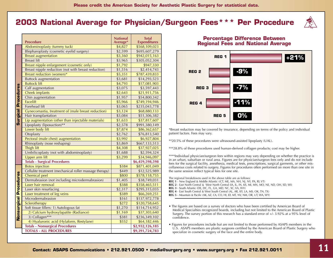# **2003 National Average for Physician/Surgeon Fees\*\*\* Per Procedure**



|                        | <b>Procedure</b>                                        | <b>National</b><br>Average* | <b>Total</b><br><b>Expenditures</b> |
|------------------------|---------------------------------------------------------|-----------------------------|-------------------------------------|
|                        | Abdominoplasty (tummy tuck)                             | \$4,827                     | \$568,109,023                       |
|                        | Blepharoplasty (cosmetic eyelid surgery)                | \$2,599                     | \$695,607,279                       |
|                        | <b>Breast augmentation</b>                              | \$3,360                     | \$942,015,163                       |
|                        | <b>Breast lift</b>                                      | \$3,965                     | \$305,052,304                       |
|                        | Breast nipple enlargement (cosmetic only)               | \$1,792                     | \$947,330                           |
|                        | Breast nipple reduction (not with breast reduction)     | \$1,516                     | \$2,414,743                         |
|                        | Breast reduction (women)*                               | \$5,351                     | \$787,439,833                       |
|                        | <b>Buttock</b> augmentation                             | \$3,681                     | \$14,293,523                        |
|                        | <b>Buttock lift</b>                                     | \$4,793                     | \$17,081,903                        |
| Surgical Procedures    | Calf augmentation                                       | \$3,075                     | \$3,597,443                         |
|                        | <b>Cheek implants</b>                                   | \$2,643                     | \$21,911,756                        |
|                        | Chin augmentation                                       | \$1,957                     | \$54,800,342                        |
|                        | Facelift                                                | \$5,966                     | \$749,194,946                       |
|                        | Forehead lift                                           | \$3,065                     | \$235,043,778                       |
|                        | Gynecomastia, treatment of (male breast reduction)      | \$3,124                     | \$68,880,133                        |
|                        | Hair transplantation                                    | \$3,084                     | \$51,306,382                        |
|                        | Lip augmentation (other than injectable materials)      | \$1,633                     | \$37,817,607                        |
|                        | Lipoplasty (liposuction)**                              | \$2,578                     | \$991,380,149                       |
|                        | Lower body lift                                         | \$7,874                     | \$86,362,657                        |
|                        | Otoplasty                                               | \$2,762                     | \$76,813,540                        |
|                        | Pectoral (male chest) augmentation                      | \$3,992                     | \$6,927,804                         |
|                        | Rhinoplasty (nose reshaping)                            | \$3,869                     | \$667,133,513                       |
|                        | Thigh lift                                              | \$4,308                     | \$37,927,025                        |
|                        | Umbilicoplasty (not with abdominoplasty)                | \$1,688                     | \$2,594,324                         |
|                        | Upper arm lift                                          | \$3,299                     | \$34,946,097                        |
|                        | <b>Totals - Surgical Procedures</b>                     |                             | \$6,459,598,598                     |
|                        | <b>Botox</b> injection                                  | \$384                       | \$871,401,049                       |
|                        | Cellulite treatment (mechanical roller massage therapy) | \$449                       | \$12,525,989                        |
|                        | Chemical peel                                           | \$800                       | \$578,118,755                       |
|                        | Dermabrasion (not including microdermabrasion)          | \$1,405                     | \$38,749,031                        |
|                        | Laser hair removal                                      | \$388                       | \$358,465,511                       |
|                        | Laser skin resurfacing                                  | \$2,317                     | \$295,315,035                       |
|                        | Laser treatment of leg veins                            | \$389                       | \$66,269,251                        |
|                        | Microdermabrasion                                       | \$161                       | \$137,972,778                       |
|                        | Sclerotherapy                                           | \$272                       | \$120,758,645                       |
|                        | Soft tissue fillers: 1) Autologous fat                  | \$1,270                     | \$114,714,952                       |
|                        | 2) Calcium hydroxylapatite (Radiance)                   | \$1,169                     | \$37,303,640                        |
| Nonsurgical Procedures | 3) Collagen***                                          | \$381                       | \$236,349,102                       |
|                        | 4) Hyaluronic acid (Hylaform, Restylane)                | \$552                       | \$64,182,446                        |
|                        | <b>Totals - Nonsurgical Procedures</b>                  |                             | \$2,932,126,185                     |
|                        | <b>TOTALS - ALL PROCEDURES</b>                          |                             | \$9,391,724,783                     |

#### **Percentage Difference Between Regional Fees and National Average**



\*Breast reduction may be covered by insurance, depending on terms of the policy and individual patient factors. Fees may vary.

- \*\*20.5% of these procedures were ultrasound-assisted lipoplasty (UAL).
- \*\*\*28.8% of these procedures used human-derived collagen products; cost may be higher.

\*\*\*\*Individual physician/surgeon fees within regions may vary depending on whether the practice is in an urban, suburban or rural area. Figures are for physician/surgeon fees only and do not include fees for the surgical facility, anesthesia, medical tests, prescriptions, surgical garments, or other miscellaneous costs related to surgery. Figures for procedures often performed on more than one site in the same session reflect typical fees for one site.

The regional breakdowns used in the above table are as follows:

- **REG 1** New England & Middle Atlantic ((CT, ME, MA, NH, NJ, NY, PA, RI, VT)
- **REG 2** East North Central & West North Central (IA, IL, IN, KS, MI, MN, MO, NE, ND, OH, SD, WI)
- **REG 3** South Atlantic (DE, DC, FL, GA, MD, NC, SC, VA, WV)
- **REG 4** East South Central & West South Central (AL, AR, KY, LA, MS, OK, TN, TX)
- **REG 5** Mountain & Pacific (AK, AZ, CA, CO, HI, ID, MT, NV, NM, OR, UT, WA, WY)
- The figures are based on a survey of doctors who have been certified by American Board of Medical Specialties recognized boards, including but not limited to the American Board of Plastic Surgery. The survey portion of this research has a standard error of +/- 3.92% at a 95% level of confidence.
- Figures for procedures include but are not limited to those performed by ASAPS members in the U.S. ASAPS members are plastic surgeons certified by the American Board of Plastic Surgery who specialize in cosmetic surgery of the face and the entire body.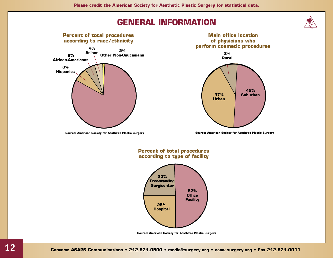# **GENERAL INFORMATION**



**Source: American Society for Aesthetic Plastic Surgery**





#### **Percent of total procedures according to type of facility**

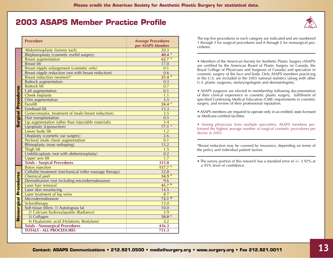## **2003 ASAPS Member Practice Profile**

|                               | <b>Procedure</b>                                                                   | <b>Average Procedures</b><br>per ASAPS Member |
|-------------------------------|------------------------------------------------------------------------------------|-----------------------------------------------|
|                               | Abdominoplasty (tummy tuck)                                                        | 20.3                                          |
|                               | Blepharoplasty (cosmetic eyelid surgery)                                           | $40.4^{3}$                                    |
|                               | <b>Breast augmentation</b>                                                         | 62.7 <sup>2</sup>                             |
|                               | <b>Breast lift</b>                                                                 | 17.0                                          |
|                               | Breast nipple enlargement (cosmetic only)                                          | 0.1                                           |
|                               | Breast nipple reduction (not with breast reduction)                                | 0.6                                           |
|                               | Breast reduction (women)*                                                          | 25.44                                         |
|                               | <b>Buttock augmentation</b>                                                        | 0.3                                           |
|                               | <b>Buttock lift</b>                                                                | 0.7                                           |
|                               | Calf augmentation                                                                  | 0.1                                           |
|                               | Cheek implants                                                                     | 1.1                                           |
|                               | Chin augmentation                                                                  | 3.5                                           |
| <b>Surgical Procedures</b>    | <b>Facelift</b>                                                                    | 24.4 <sup>5</sup>                             |
|                               | <b>Forehead lift</b>                                                               | 13.3                                          |
|                               | Gynecomastia, treatment of (male breast reduction)                                 | 3.5                                           |
|                               | Hair transplantation                                                               | 0.5                                           |
|                               | Lip augmentation (other than injectable materials)                                 | 3.4                                           |
|                               | Lipoplasty (Liposuction)                                                           | 77.1 <sup>1</sup>                             |
|                               | Lower body lift                                                                    | 1.2                                           |
|                               | Otoplasty (cosmetic ear surgery)                                                   | 2.6                                           |
|                               | Pectoral (male chest) augmentation                                                 | 0.1                                           |
|                               | Rhinoplasty (nose reshaping)                                                       | 13.2                                          |
|                               | Thigh lift                                                                         | 1.5                                           |
|                               | Umbilicoplasty (not with abdominoplasty)                                           | 0.2                                           |
|                               | Upper arm lift                                                                     | $\overline{1.7}$                              |
|                               | <b>Totals - Surgical Procedures</b>                                                | 315.0                                         |
|                               | <b>Botox</b> injection                                                             | 157.7 <sup>A</sup>                            |
|                               | Cellulite treatment (mechanical roller massage therapy)                            | 12.8                                          |
|                               | Chemical peel                                                                      | $34.9$ <sup>E</sup>                           |
|                               | Dermabrasion (not including microdermabrasion)                                     | 9.6<br>45.7 <sup>b</sup>                      |
|                               | Laser hair removal                                                                 |                                               |
|                               | Laser skin resurfacing                                                             | 14.5                                          |
|                               | Laser treatment of leg veins                                                       | 8.7<br>72.1 <sup>B</sup>                      |
|                               | Microdermabrasion                                                                  | 13.0                                          |
|                               | Sclerotherapy                                                                      | 10.0                                          |
|                               | Soft tissue fillers: 1) Autologous fat<br>2) Calcium hydroxylapatite (Radiance)    | $\overline{3.9}$                              |
| <b>Nonsurgical Procedures</b> | 3) Collagen                                                                        | 50.0 <sup>c</sup>                             |
|                               |                                                                                    | 3.2                                           |
|                               | 4) Hyaluronic acid (Hylaform, Restylane)<br><b>Totals - Nonsurgical Procedures</b> | 436.3                                         |
|                               | <b>TOTALS - ALL PROCEDURES</b>                                                     | 751.3                                         |
|                               |                                                                                    |                                               |

The top five procedures in each category are indicated and are numbered 1 through 5 for surgical procedures and A through E for nonsurgical procedures.

• Members of the American Society for Aesthetic Plastic Surgery (ASAPS) are certified by the American Board of Plastic Surgery (in Canada, the Royal College of Physicians and Surgeons of Canada) and specialize in cosmetic surgery of the face and body. Only ASAPS members practicing in the U.S. are included in the 2003 national statistics (along with other U.S. plastic surgeons, otolaryngologists and dermatologists).

• ASAPS surgeons are elected to membership following documentation of their clinical experience in cosmetic plastic surgery, fulfillment of specified Continuing Medical Education (CME) requirements in cosmetic surgery, and review of their professional reputation.

• ASAPS members are required to operate only in accredited, state-licensed or Medicare-certified facilities.

• Among physicians from multiple specialties, ASAPS members performed the highest average number of surgical cosmetic procedures per doctor in 2003.

\*Breast reduction may be covered by insurance, depending on terms of the policy and individual patient factors.



<sup>•</sup> The survey portion of this research has a standard error of  $+/- 3.92\%$  at a 95% level of confidence.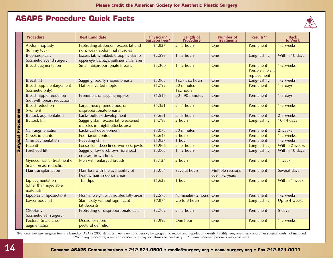## **ASAPS Procedure Quick Facts**



|                            | <b>Procedure</b>                                              | <b>Best Candidate</b>                                                               | Physician/<br>Surgeon Fees* | <b>Length of<br/>Procedure</b> | Number of<br><b>Treatments</b>      | Results**                                    | <b>Back</b><br>to Work |
|----------------------------|---------------------------------------------------------------|-------------------------------------------------------------------------------------|-----------------------------|--------------------------------|-------------------------------------|----------------------------------------------|------------------------|
|                            | Abdominoplasty<br>(tummy tuck)                                | Protruding abdomen; excess fat and<br>skin; weak abdominal muscles                  | \$4,827                     | $2 - 5$ hours                  | One                                 | Permanent                                    | 1-3 weeks              |
|                            | Blepharoplasty<br>(cosmetic eyelid surgery)                   | Excess fat, wrinkled, drooping skin of<br>upper eyelids; bags, puffiness under eyes | \$2,599                     | $1 - 3$ hours                  | One                                 | Long-lasting                                 | Within 10 days         |
|                            | <b>Breast augmentation</b>                                    | Small, disproportionate breasts                                                     | \$3,360                     | $1 - 2$ hours                  | One                                 | Permanent<br>Possible implant<br>replacement | 1-2 weeks              |
|                            | <b>Breast lift</b>                                            | Sagging, poorly shaped breasts                                                      | \$3,965                     | $11/2 - 31/2$ hours            | One                                 | Long-lasting                                 | 1-2 weeks              |
|                            | Breast nipple enlargement<br>(cosmetic only)                  | Flat or inverted nipple                                                             | \$1,792                     | 30 minutes -<br>11/2 hours     | One                                 | Permanent                                    | $1-3$ days             |
|                            | <b>Breast nipple reduction</b><br>(not with breast reduction) | Prominent or sagging nipples                                                        | \$1,516                     | 30 - 90 minutes                | One                                 | Permanent                                    | $1-3$ days             |
|                            | <b>Breast reduction</b><br>(women)                            | Large, heavy, pendulous, or<br>disproportionate breasts                             | \$5,351                     | $2 - 4$ hours                  | One                                 | Permanent                                    | 1-2 weeks              |
|                            | <b>Buttock augmentation</b>                                   | Lacks buttock development                                                           | \$3,681                     | $2 - 3$ hours                  | One                                 | Permanent                                    | 2-3 weeks              |
| <b>Surgical Procedures</b> | <b>Buttock lift</b>                                           | Sagging skin, excess fat, weakened<br>muscles in thigh/buttocks area                | \$4,793                     | 2 hours                        | One                                 | Long-lasting                                 | 10-14 days             |
|                            | Calf augmentation                                             | Lacks calf development                                                              | \$3,075                     | 30 minutes                     | One                                 | Permanent                                    | 2 weeks                |
|                            | Cheek implants                                                | Poor facial contour                                                                 | \$2,643                     | 2 hours                        | One                                 | Permanent                                    | 1-2 weeks              |
|                            | Chin augmentation                                             | Receding chin                                                                       | \$1,957                     | 1 hour                         | One                                 | Permanent                                    | 1-2 weeks              |
|                            | Facelift                                                      | Loose skin, deep lines, wrinkles, jowls                                             | \$5,966                     | $2 - 3$ hours                  | One                                 | Long-lasting                                 | Within 2 weeks         |
|                            | Forehead lift                                                 | Sagging, low eyebrows, forehead<br>creases, frown lines                             | \$3,065                     | $1 - 2$ hours                  | One                                 | Long-lasting                                 | Within 10 days         |
|                            | Gynecomastia, treatment of<br>(male breast reduction)         | Men with enlarged breasts                                                           | \$3,124                     | 2 hours                        | One                                 | Permanent                                    | 1 week                 |
|                            | Hair transplantation                                          | Hair loss with the availability of<br>healthy hair in donor areas                   | \$3,084                     | Several hours                  | Multiple sessions<br>over 1-2 years | Permanent                                    | Several days           |
|                            | Lip augmentation<br>(other than injectable<br>materials)      | Thin lips                                                                           | \$1,633                     | 1 hour                         | One                                 | Permanent                                    | Within 1 week          |
|                            | Lipoplasty (liposuction)                                      | Normal weight with isolated fatty areas                                             | \$2,578                     | 45 minutes - 2 hours           | One                                 | Permanent                                    | 1-2 weeks              |
|                            | Lower body lift                                               | Skin laxity without significant<br>fat deposits                                     | \$7,874                     | Up to 8 hours                  | One                                 | Long-lasting                                 | Up to 4 weeks          |
|                            | Otoplasty<br>(cosmetic ear surgery)                           | Protruding or disproportionate ears                                                 | \$2,762                     | $2 - 3$ hours                  | One                                 | Permanent                                    | 5 days                 |
|                            | Pectoral (male chest)<br>augmentation                         | Desire for more<br>pectoral definition                                              | \$3,992                     | One hour                       | One                                 | Permanent                                    | 1-2 weeks              |

\*National average; surgeon fees are based on ASAPS 2003 statistics. Fees vary considerably by geographic region and population density. Facility fees, anesthesia and other surgical costs not included. \*\*With any procedure, a revision or touch-up may sometimes be necessary. \*\*\*Human-derived products may cost more.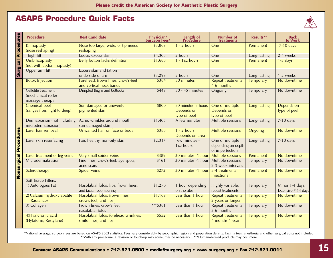## **ASAPS Procedure Quick Facts**



|                               | <b>Procedure</b>                                              | <b>Best Candidate</b>                                           | <b>Physician/</b><br><b>Surgeon Fees*</b> | <b>Length of<br/>Procedure</b>                    | <b>Number</b> of<br><b>Treatments</b>                    | Results**        | <b>Back</b><br>to Work                 |
|-------------------------------|---------------------------------------------------------------|-----------------------------------------------------------------|-------------------------------------------|---------------------------------------------------|----------------------------------------------------------|------------------|----------------------------------------|
| <b>Surgical Procedures</b>    | Rhinoplasty<br>(nose reshaping)                               | Nose too large, wide, or tip needs<br>reshaping                 | \$3,869                                   | $1 - 2$ hours                                     | One                                                      | Permanent        | 7-10 days                              |
|                               | Thigh lift                                                    | Loose, excess skin                                              | \$4,308                                   | 2 hours                                           | One                                                      | Long-lasting     | 2-4 weeks                              |
|                               | Umbilicoplasty<br>(not with abdominoplasty)                   | Belly button lacks definition                                   | \$1,688                                   | $1 - 11/2$ hours                                  | One                                                      | Permanent        | $1-3$ days                             |
|                               | Upper arm lift                                                | Excess skin and fat on<br>underside of arm                      | \$3,299                                   | 2 hours                                           | One                                                      | Long-lasting     | 1-2 weeks                              |
|                               | <b>Botox Injection</b>                                        | Forehead, frown lines, crow's-feet<br>and vertical neck bands   | \$384                                     | 30 minutes                                        | <b>Repeat treatments</b><br>4-6 months                   | Temporary        | No downtime                            |
|                               | Cellulite treatment<br>(mechanical roller<br>massage therapy) | Dimpled thighs and buttocks                                     | \$449                                     | $30 - 45$ minutes                                 | Ongoing                                                  | Temporary        | No downtime                            |
|                               | <b>Chemical peel</b><br>(ranges from light to deep)           | Sun-damaged or unevenly<br>pigmented skin                       | \$800                                     | 30 minutes -3 hours<br>Depends on<br>type of peel | One or multiple<br>Depends on<br>type of peel            | Long-lasting     | Depends on<br>type of peel             |
|                               | Dermabrasion (not including<br>microdermabrasion)             | Acne, wrinkles around mouth,<br>sun-damaged skin                | \$1,405                                   | A few minutes                                     | Multiple sessions                                        | Long-lasting     | 7-10 days                              |
|                               | Laser hair removal                                            | Unwanted hair on face or body                                   | \$388                                     | $1 - 2$ hours<br>Depends on area                  | <b>Multiple sessions</b>                                 | Ongoing          | No downtime                            |
| <b>Nonsurgical Procedures</b> | Laser skin resurfacing                                        | Fair, healthy, non-oily skin                                    | \$2,317                                   | Few minutes -<br>$11/2$ hours                     | One or multiple<br>depending on depth<br>of imperfection | Long-lasting     | $7-10$ days                            |
|                               | Laser treatment of leg veins                                  | Very small spider veins                                         | \$389                                     | 30 minutes -1 hour                                | <b>Multiple sessions</b>                                 | Permanent        | No downtime                            |
|                               | Microdermabrasion                                             | Fine lines, crow's-feet, age spots,<br>acne scars               | \$161                                     | 30 minutes -1 hour                                | <b>Multiple sessions</b><br>2-3 week intervals           | Temporary        | No downtime                            |
|                               | Sclerotherapy                                                 | Spider veins                                                    | \$272                                     | 30 minutes -1 hour                                | 3-4 treatments<br><b>Injections</b>                      | Permanent        | No downtime                            |
|                               | <b>Soft Tissue Fillers:</b>                                   |                                                                 |                                           |                                                   |                                                          |                  |                                        |
|                               | 1) Autologous Fat                                             | Nasolabial folds, lips, frown lines,<br>and facial recontouring | \$1,270                                   | 1 hour depending<br>on the sites                  | Highly variable,<br>repeat treatments                    | Temporary        | Minor 1-4 days,<br>Extensive 7-14 days |
|                               | 2) Calcium hydroxylapatite<br>(Radiance)                      | Nasolabial folds, frown lines,<br>crow's feet, and lips         | \$1,169                                   | Less than 1 hour                                  | <b>Repeat treatments</b><br>2 years or longer            | Temporary        | No downtime                            |
|                               | 3) Collagen                                                   | Frown lines, crow's feet,<br>nasolabial folds                   | *** \$381                                 | Less than 1 hour                                  | <b>Repeat treatments</b><br>3-6 months                   | Temporary        | No downtime                            |
|                               | 4) Hyaluronic acid<br>(Hylaform, Restylane)                   | Nasolabial folds, forehead wrinkles,<br>smile lines, and lips   | \$552                                     | Less than 1 hour                                  | <b>Repeat treatments</b><br>4 months-1 year              | <b>Temporary</b> | No downtime                            |

\*National average; surgeon fees are based on ASAPS 2003 statistics. Fees vary considerably by geographic region and population density. Facility fees, anesthesia and other surgical costs not included. \*\*With any procedure, a revision or touch-up may sometimes be necessary. \*\*\*Human-derived products may cost more.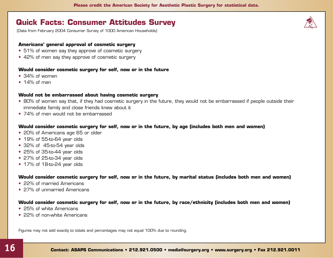## **Quick Facts: Consumer Attitudes Survey**

(Data from February 2004 Consumer Survey of 1000 American Households)

#### **Americans' general approval of cosmetic surgery**

- 51% of women say they approve of cosmetic surgery
- 42% of men say they approve of cosmetic surgery

#### **Would consider cosmetic surgery for self, now or in the future**

- 34% of women
- $\cdot$  14% of men

#### **Would not be embarrassed about having cosmetic surgery**

- 80% of women say that, if they had cosmetic surgery in the future, they would not be embarrassed if people outside their immediate family and close friends knew about it
- 74% of men would not be embarrassed

#### **Would consider cosmetic surgery for self, now or in the future, by age (includes both men and women)**

- 20% of Americans age 65 or older
- 19% of 55-to-64 year olds
- 32% of 45-to-54 year olds
- 25% of 35-to-44 year olds
- 27% of 25-to-34 year olds
- 17% of 18-to-24 year olds

**Would consider cosmetic surgery for self, now or in the future, by marital status (includes both men and women)** 

- 22% of married Americans
- 27% of unmarried Americans

#### **Would consider cosmetic surgery for self, now or in the future, by race/ethnicity (includes both men and women)**

- 25% of white Americans
- 22% of non-white Americans

Figures may not add exactly to totals and percentages may not equal 100% due to rounding.

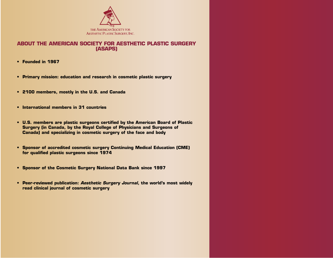

#### **ABOUT THE AMERICAN SOCIETY FOR AESTHETIC PLASTIC SURGERY (ASAPS)**

- **Founded in 1967**
- **Primary mission: education and research in cosmetic plastic surgery**
- **2100 members, mostly in the U.S. and Canada**
- **International members in 31 countries**
- **U.S. members are plastic surgeons certified by the American Board of Plastic Surgery (in Canada, by the Royal College of Physicians and Surgeons of Canada) and specializing in cosmetic surgery of the face and body**
- **Sponsor of accredited cosmetic surgery Continuing Medical Education (CME) for qualified plastic surgeons since 1974**
- **Sponsor of the Cosmetic Surgery National Data Bank since 1997**
- **Peer-reviewed publication:** *Aesthetic Surgery Journal***, the world's most widely read clinical journal of cosmetic surgery**